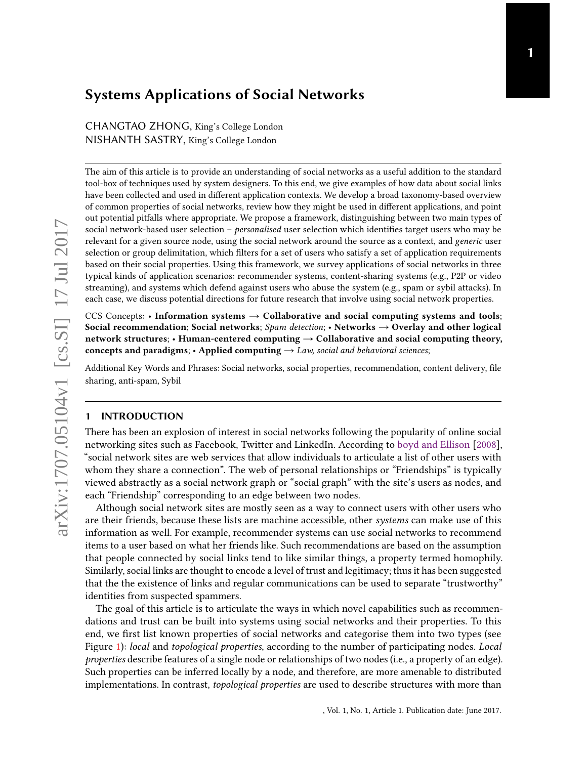# Systems Applications of Social Networks

CHANGTAO ZHONG, King's College London NISHANTH SASTRY, King's College London

The aim of this article is to provide an understanding of social networks as a useful addition to the standard tool-box of techniques used by system designers. To this end, we give examples of how data about social links have been collected and used in different application contexts. We develop a broad taxonomy-based overview of common properties of social networks, review how they might be used in different applications, and point out potential pitfalls where appropriate. We propose a framework, distinguishing between two main types of social network-based user selection – *personalised* user selection which identifies target users who may be relevant for a given source node, using the social network around the source as a context, and generic user selection or group delimitation, which filters for a set of users who satisfy a set of application requirements based on their social properties. Using this framework, we survey applications of social networks in three typical kinds of application scenarios: recommender systems, content-sharing systems (e.g., P2P or video streaming), and systems which defend against users who abuse the system (e.g., spam or sybil attacks). In each case, we discuss potential directions for future research that involve using social network properties.

CCS Concepts: • Information systems  $\rightarrow$  Collaborative and social computing systems and tools; Social recommendation; Social networks; Spam detection; • Networks  $\rightarrow$  Overlay and other logical network structures;  $\cdot$  Human-centered computing  $\rightarrow$  Collaborative and social computing theory, concepts and paradigms; • Applied computing  $\rightarrow$  Law, social and behavioral sciences;

Additional Key Words and Phrases: Social networks, social properties, recommendation, content delivery, file sharing, anti-spam, Sybil

# 1 INTRODUCTION

There has been an explosion of interest in social networks following the popularity of online social networking sites such as Facebook, Twitter and LinkedIn. According to boyd and Ellison [2008], "social network sites are web services that allow individuals to articulate a list of other users with whom they share a connection". The web of personal relationships or "Friendships" is typically viewed abstractly as a social network graph or "social graph" with the site's users as nodes, and each "Friendship" corresponding to an edge between two nodes.

Although social network sites are mostly seen as a way to connect users with other users who are their friends, because these lists are machine accessible, other systems can make use of this information as well. For example, recommender systems can use social networks to recommend items to a user based on what her friends like. Such recommendations are based on the assumption that people connected by social links tend to like similar things, a property termed homophily. Similarly, social links are thought to encode a level of trust and legitimacy; thus it has been suggested that the the existence of links and regular communications can be used to separate "trustworthy" identities from suspected spammers.

The goal of this article is to articulate the ways in which novel capabilities such as recommendations and trust can be built into systems using social networks and their properties. To this end, we first list known properties of social networks and categorise them into two types (see Figure 1): local and topological properties, according to the number of participating nodes. Local properties describe features of a single node or relationships of two nodes (i.e., a property of an edge). Such properties can be inferred locally by a node, and therefore, are more amenable to distributed implementations. In contrast, topological properties are used to describe structures with more than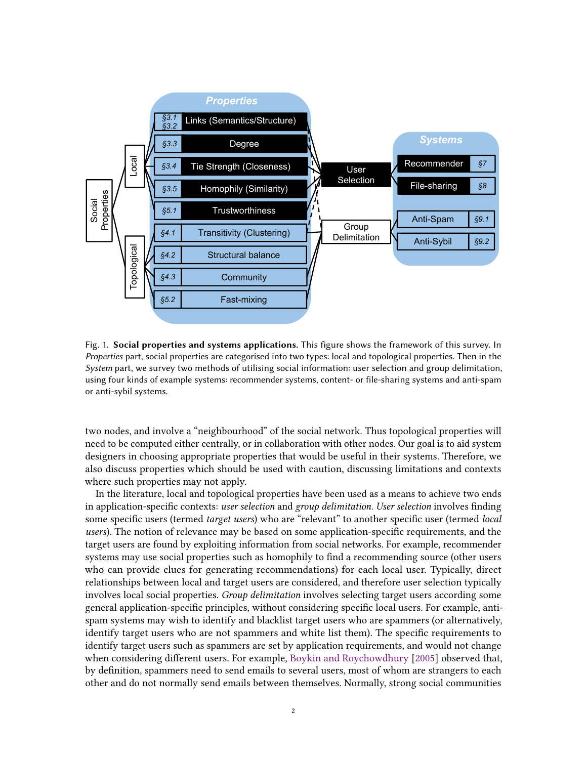

Fig. 1. Social properties and systems applications. This figure shows the framework of this survey. In Properties part, social properties are categorised into two types: local and topological properties. Then in the System part, we survey two methods of utilising social information: user selection and group delimitation, using four kinds of example systems: recommender systems, content- or file-sharing systems and anti-spam or anti-sybil systems.

two nodes, and involve a "neighbourhood" of the social network. Thus topological properties will need to be computed either centrally, or in collaboration with other nodes. Our goal is to aid system designers in choosing appropriate properties that would be useful in their systems. Therefore, we also discuss properties which should be used with caution, discussing limitations and contexts where such properties may not apply.

In the literature, local and topological properties have been used as a means to achieve two ends in application-specific contexts: user selection and group delimitation. User selection involves finding some specific users (termed target users) who are "relevant" to another specific user (termed local users). The notion of relevance may be based on some application-specific requirements, and the target users are found by exploiting information from social networks. For example, recommender systems may use social properties such as homophily to find a recommending source (other users who can provide clues for generating recommendations) for each local user. Typically, direct relationships between local and target users are considered, and therefore user selection typically involves local social properties. Group delimitation involves selecting target users according some general application-specific principles, without considering specific local users. For example, antispam systems may wish to identify and blacklist target users who are spammers (or alternatively, identify target users who are not spammers and white list them). The specific requirements to identify target users such as spammers are set by application requirements, and would not change when considering different users. For example, Boykin and Roychowdhury [2005] observed that, by definition, spammers need to send emails to several users, most of whom are strangers to each other and do not normally send emails between themselves. Normally, strong social communities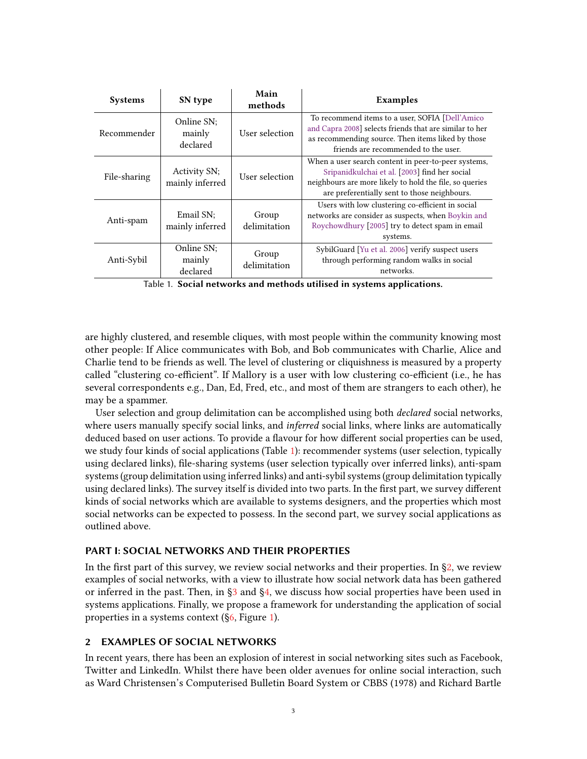| <b>Systems</b> | SN type                          | Main<br>methods       | Examples                                                                                                                                                                                                        |
|----------------|----------------------------------|-----------------------|-----------------------------------------------------------------------------------------------------------------------------------------------------------------------------------------------------------------|
| Recommender    | Online SN:<br>mainly<br>declared | User selection        | To recommend items to a user, SOFIA [Dell'Amico]<br>and Capra 2008] selects friends that are similar to her<br>as recommending source. Then items liked by those<br>friends are recommended to the user.        |
| File-sharing   | Activity SN;<br>mainly inferred  | User selection        | When a user search content in peer-to-peer systems,<br>Sripanidkulchai et al. [2003] find her social<br>neighbours are more likely to hold the file, so queries<br>are preferentially sent to those neighbours. |
| Anti-spam      | Email SN:<br>mainly inferred     | Group<br>delimitation | Users with low clustering co-efficient in social<br>networks are consider as suspects, when Boykin and<br>Roychowdhury [2005] try to detect spam in email<br>systems.                                           |
| Anti-Sybil     | Online SN:<br>mainly<br>declared | Group<br>delimitation | SybilGuard [Yu et al. 2006] verify suspect users<br>through performing random walks in social<br>networks.                                                                                                      |

Table 1. Social networks and methods utilised in systems applications.

are highly clustered, and resemble cliques, with most people within the community knowing most other people: If Alice communicates with Bob, and Bob communicates with Charlie, Alice and Charlie tend to be friends as well. The level of clustering or cliquishness is measured by a property called "clustering co-efficient". If Mallory is a user with low clustering co-efficient (i.e., he has several correspondents e.g., Dan, Ed, Fred, etc., and most of them are strangers to each other), he may be a spammer.

User selection and group delimitation can be accomplished using both declared social networks, where users manually specify social links, and inferred social links, where links are automatically deduced based on user actions. To provide a flavour for how different social properties can be used, we study four kinds of social applications (Table 1): recommender systems (user selection, typically using declared links), file-sharing systems (user selection typically over inferred links), anti-spam systems (group delimitation using inferred links) and anti-sybil systems (group delimitation typically using declared links). The survey itself is divided into two parts. In the first part, we survey different kinds of social networks which are available to systems designers, and the properties which most social networks can be expected to possess. In the second part, we survey social applications as outlined above.

### PART I: SOCIAL NETWORKS AND THEIR PROPERTIES

In the first part of this survey, we review social networks and their properties. In  $\S2$ , we review examples of social networks, with a view to illustrate how social network data has been gathered or inferred in the past. Then, in §3 and §4, we discuss how social properties have been used in systems applications. Finally, we propose a framework for understanding the application of social properties in a systems context (§6, Figure 1).

### 2 EXAMPLES OF SOCIAL NETWORKS

In recent years, there has been an explosion of interest in social networking sites such as Facebook, Twitter and LinkedIn. Whilst there have been older avenues for online social interaction, such as Ward Christensen's Computerised Bulletin Board System or CBBS (1978) and Richard Bartle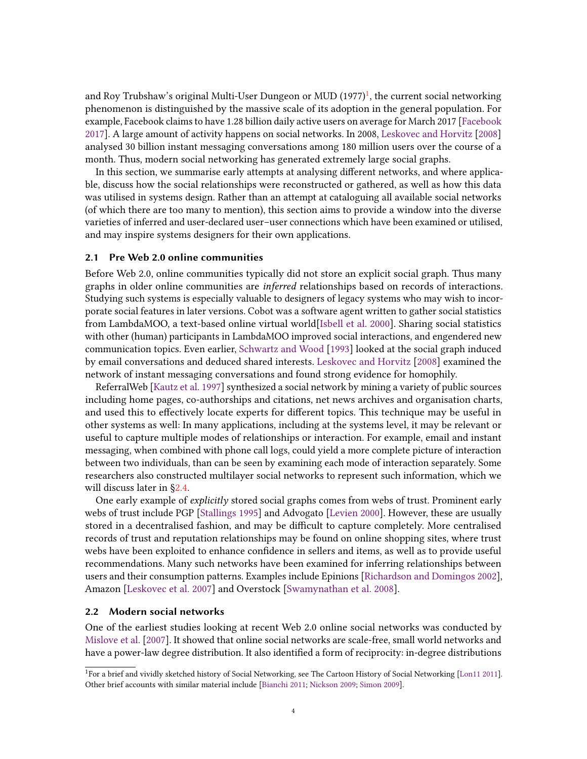and Roy Trubshaw's original Multi-User Dungeon or MUD (1977) $^1$ , the current social networking phenomenon is distinguished by the massive scale of its adoption in the general population. For example, Facebook claims to have 1.28 billion daily active users on average for March 2017 [Facebook 2017]. A large amount of activity happens on social networks. In 2008, Leskovec and Horvitz [2008] analysed 30 billion instant messaging conversations among 180 million users over the course of a month. Thus, modern social networking has generated extremely large social graphs.

In this section, we summarise early attempts at analysing different networks, and where applicable, discuss how the social relationships were reconstructed or gathered, as well as how this data was utilised in systems design. Rather than an attempt at cataloguing all available social networks (of which there are too many to mention), this section aims to provide a window into the diverse varieties of inferred and user-declared user–user connections which have been examined or utilised, and may inspire systems designers for their own applications.

# 2.1 Pre Web 2.0 online communities

Before Web 2.0, online communities typically did not store an explicit social graph. Thus many graphs in older online communities are inferred relationships based on records of interactions. Studying such systems is especially valuable to designers of legacy systems who may wish to incorporate social features in later versions. Cobot was a software agent written to gather social statistics from LambdaMOO, a text-based online virtual world[Isbell et al. 2000]. Sharing social statistics with other (human) participants in LambdaMOO improved social interactions, and engendered new communication topics. Even earlier, Schwartz and Wood [1993] looked at the social graph induced by email conversations and deduced shared interests. Leskovec and Horvitz [2008] examined the network of instant messaging conversations and found strong evidence for homophily.

ReferralWeb [Kautz et al. 1997] synthesized a social network by mining a variety of public sources including home pages, co-authorships and citations, net news archives and organisation charts, and used this to effectively locate experts for different topics. This technique may be useful in other systems as well: In many applications, including at the systems level, it may be relevant or useful to capture multiple modes of relationships or interaction. For example, email and instant messaging, when combined with phone call logs, could yield a more complete picture of interaction between two individuals, than can be seen by examining each mode of interaction separately. Some researchers also constructed multilayer social networks to represent such information, which we will discuss later in §2.4.

One early example of *explicitly* stored social graphs comes from webs of trust. Prominent early webs of trust include PGP [Stallings 1995] and Advogato [Levien 2000]. However, these are usually stored in a decentralised fashion, and may be difficult to capture completely. More centralised records of trust and reputation relationships may be found on online shopping sites, where trust webs have been exploited to enhance confidence in sellers and items, as well as to provide useful recommendations. Many such networks have been examined for inferring relationships between users and their consumption patterns. Examples include Epinions [Richardson and Domingos 2002], Amazon [Leskovec et al. 2007] and Overstock [Swamynathan et al. 2008].

### 2.2 Modern social networks

One of the earliest studies looking at recent Web 2.0 online social networks was conducted by Mislove et al. [2007]. It showed that online social networks are scale-free, small world networks and have a power-law degree distribution. It also identified a form of reciprocity: in-degree distributions

<sup>&</sup>lt;sup>1</sup> For a brief and vividly sketched history of Social Networking, see The Cartoon History of Social Networking [Lon11 2011]. Other brief accounts with similar material include [Bianchi 2011; Nickson 2009; Simon 2009].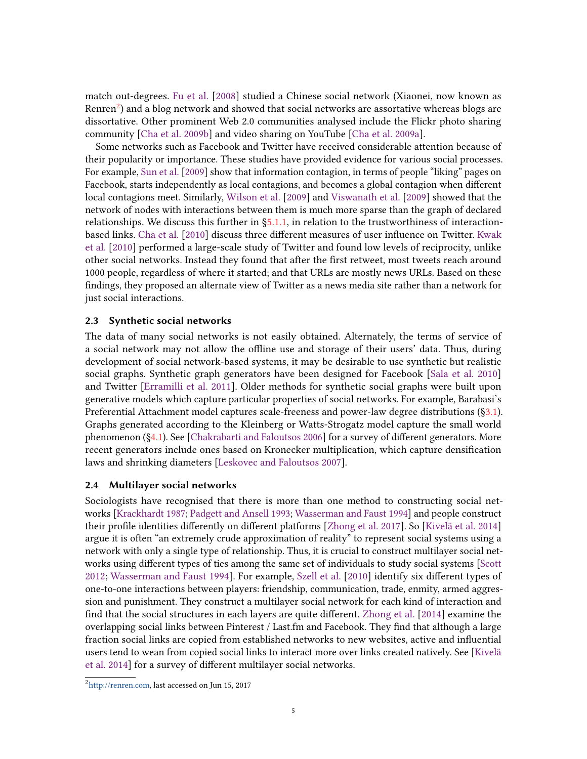match out-degrees. Fu et al. [2008] studied a Chinese social network (Xiaonei, now known as Renren $^2$ ) and a blog network and showed that social networks are assortative whereas blogs are dissortative. Other prominent Web 2.0 communities analysed include the Flickr photo sharing community [Cha et al. 2009b] and video sharing on YouTube [Cha et al. 2009a].

Some networks such as Facebook and Twitter have received considerable attention because of their popularity or importance. These studies have provided evidence for various social processes. For example, Sun et al. [2009] show that information contagion, in terms of people "liking" pages on Facebook, starts independently as local contagions, and becomes a global contagion when different local contagions meet. Similarly, Wilson et al. [2009] and Viswanath et al. [2009] showed that the network of nodes with interactions between them is much more sparse than the graph of declared relationships. We discuss this further in §5.1.1, in relation to the trustworthiness of interactionbased links. Cha et al. [2010] discuss three different measures of user influence on Twitter. Kwak et al. [2010] performed a large-scale study of Twitter and found low levels of reciprocity, unlike other social networks. Instead they found that after the first retweet, most tweets reach around 1000 people, regardless of where it started; and that URLs are mostly news URLs. Based on these findings, they proposed an alternate view of Twitter as a news media site rather than a network for just social interactions.

# 2.3 Synthetic social networks

The data of many social networks is not easily obtained. Alternately, the terms of service of a social network may not allow the offline use and storage of their users' data. Thus, during development of social network-based systems, it may be desirable to use synthetic but realistic social graphs. Synthetic graph generators have been designed for Facebook [Sala et al. 2010] and Twitter [Erramilli et al. 2011]. Older methods for synthetic social graphs were built upon generative models which capture particular properties of social networks. For example, Barabasi's Preferential Attachment model captures scale-freeness and power-law degree distributions (§3.1). Graphs generated according to the Kleinberg or Watts-Strogatz model capture the small world phenomenon (§4.1). See [Chakrabarti and Faloutsos 2006] for a survey of different generators. More recent generators include ones based on Kronecker multiplication, which capture densification laws and shrinking diameters [Leskovec and Faloutsos 2007].

# 2.4 Multilayer social networks

Sociologists have recognised that there is more than one method to constructing social networks [Krackhardt 1987; Padgett and Ansell 1993; Wasserman and Faust 1994] and people construct their profile identities differently on different platforms [Zhong et al. 2017]. So [Kivelä et al. 2014] argue it is often "an extremely crude approximation of reality" to represent social systems using a network with only a single type of relationship. Thus, it is crucial to construct multilayer social networks using different types of ties among the same set of individuals to study social systems [Scott 2012; Wasserman and Faust 1994]. For example, Szell et al. [2010] identify six different types of one-to-one interactions between players: friendship, communication, trade, enmity, armed aggression and punishment. They construct a multilayer social network for each kind of interaction and find that the social structures in each layers are quite different. Zhong et al. [2014] examine the overlapping social links between Pinterest / Last.fm and Facebook. They find that although a large fraction social links are copied from established networks to new websites, active and influential users tend to wean from copied social links to interact more over links created natively. See [Kivelä et al. 2014] for a survey of different multilayer social networks.

 $^2$ http://renren.com, last accessed on Jun 15, 2017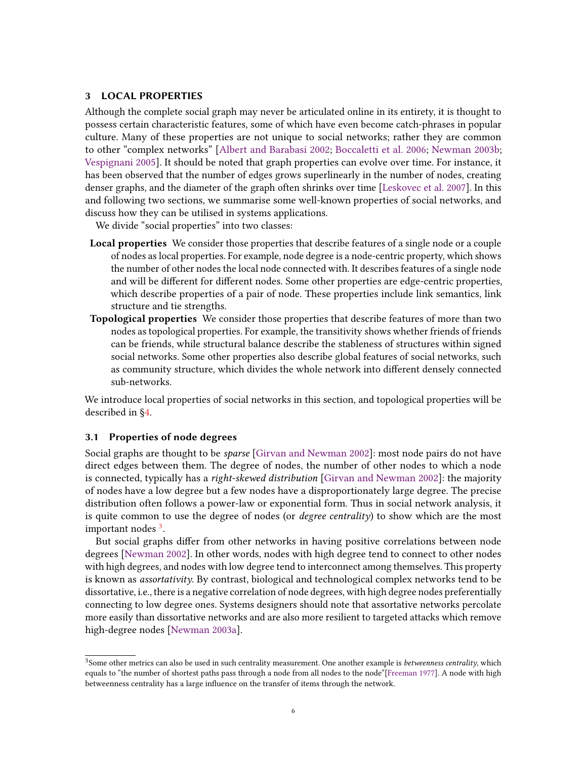# 3 LOCAL PROPERTIES

Although the complete social graph may never be articulated online in its entirety, it is thought to possess certain characteristic features, some of which have even become catch-phrases in popular culture. Many of these properties are not unique to social networks; rather they are common to other "complex networks" [Albert and Barabasi 2002; Boccaletti et al. 2006; Newman 2003b; Vespignani 2005]. It should be noted that graph properties can evolve over time. For instance, it has been observed that the number of edges grows superlinearly in the number of nodes, creating denser graphs, and the diameter of the graph often shrinks over time [Leskovec et al. 2007]. In this and following two sections, we summarise some well-known properties of social networks, and discuss how they can be utilised in systems applications.

We divide "social properties" into two classes:

- Local properties We consider those properties that describe features of a single node or a couple of nodes as local properties. For example, node degree is a node-centric property, which shows the number of other nodes the local node connected with. It describes features of a single node and will be different for different nodes. Some other properties are edge-centric properties, which describe properties of a pair of node. These properties include link semantics, link structure and tie strengths.
- Topological properties We consider those properties that describe features of more than two nodes as topological properties. For example, the transitivity shows whether friends of friends can be friends, while structural balance describe the stableness of structures within signed social networks. Some other properties also describe global features of social networks, such as community structure, which divides the whole network into different densely connected sub-networks.

We introduce local properties of social networks in this section, and topological properties will be described in §4.

# 3.1 Properties of node degrees

Social graphs are thought to be sparse [Girvan and Newman 2002]: most node pairs do not have direct edges between them. The degree of nodes, the number of other nodes to which a node is connected, typically has a right-skewed distribution [Girvan and Newman 2002]: the majority of nodes have a low degree but a few nodes have a disproportionately large degree. The precise distribution often follows a power-law or exponential form. Thus in social network analysis, it is quite common to use the degree of nodes (or degree centrality) to show which are the most important nodes<sup>3</sup>.

But social graphs differ from other networks in having positive correlations between node degrees [Newman 2002]. In other words, nodes with high degree tend to connect to other nodes with high degrees, and nodes with low degree tend to interconnect among themselves. This property is known as assortativity. By contrast, biological and technological complex networks tend to be dissortative, i.e., there is a negative correlation of node degrees, with high degree nodes preferentially connecting to low degree ones. Systems designers should note that assortative networks percolate more easily than dissortative networks and are also more resilient to targeted attacks which remove high-degree nodes [Newman 2003a].

 $3$ Some other metrics can also be used in such centrality measurement. One another example is *betweenness centrality*, which equals to "the number of shortest paths pass through a node from all nodes to the node"[Freeman 1977]. A node with high betweenness centrality has a large influence on the transfer of items through the network.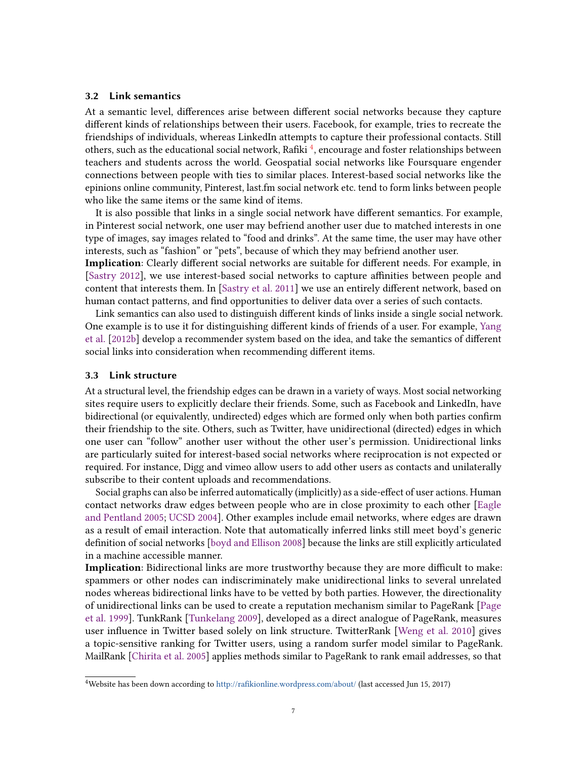# 3.2 Link semantics

At a semantic level, differences arise between different social networks because they capture different kinds of relationships between their users. Facebook, for example, tries to recreate the friendships of individuals, whereas LinkedIn attempts to capture their professional contacts. Still others, such as the educational social network, Rafiki  $^4$ , encourage and foster relationships between teachers and students across the world. Geospatial social networks like Foursquare engender connections between people with ties to similar places. Interest-based social networks like the epinions online community, Pinterest, last.fm social network etc. tend to form links between people who like the same items or the same kind of items.

It is also possible that links in a single social network have different semantics. For example, in Pinterest social network, one user may befriend another user due to matched interests in one type of images, say images related to "food and drinks". At the same time, the user may have other interests, such as "fashion" or "pets", because of which they may befriend another user.

Implication: Clearly different social networks are suitable for different needs. For example, in [Sastry 2012], we use interest-based social networks to capture affinities between people and content that interests them. In [Sastry et al. 2011] we use an entirely different network, based on human contact patterns, and find opportunities to deliver data over a series of such contacts.

Link semantics can also used to distinguish different kinds of links inside a single social network. One example is to use it for distinguishing different kinds of friends of a user. For example, Yang et al. [2012b] develop a recommender system based on the idea, and take the semantics of different social links into consideration when recommending different items.

### 3.3 Link structure

At a structural level, the friendship edges can be drawn in a variety of ways. Most social networking sites require users to explicitly declare their friends. Some, such as Facebook and LinkedIn, have bidirectional (or equivalently, undirected) edges which are formed only when both parties confirm their friendship to the site. Others, such as Twitter, have unidirectional (directed) edges in which one user can "follow" another user without the other user's permission. Unidirectional links are particularly suited for interest-based social networks where reciprocation is not expected or required. For instance, Digg and vimeo allow users to add other users as contacts and unilaterally subscribe to their content uploads and recommendations.

Social graphs can also be inferred automatically (implicitly) as a side-effect of user actions. Human contact networks draw edges between people who are in close proximity to each other [Eagle and Pentland 2005; UCSD 2004]. Other examples include email networks, where edges are drawn as a result of email interaction. Note that automatically inferred links still meet boyd's generic definition of social networks [boyd and Ellison 2008] because the links are still explicitly articulated in a machine accessible manner.

Implication: Bidirectional links are more trustworthy because they are more difficult to make: spammers or other nodes can indiscriminately make unidirectional links to several unrelated nodes whereas bidirectional links have to be vetted by both parties. However, the directionality of unidirectional links can be used to create a reputation mechanism similar to PageRank [Page et al. 1999]. TunkRank [Tunkelang 2009], developed as a direct analogue of PageRank, measures user influence in Twitter based solely on link structure. TwitterRank [Weng et al. 2010] gives a topic-sensitive ranking for Twitter users, using a random surfer model similar to PageRank. MailRank [Chirita et al. 2005] applies methods similar to PageRank to rank email addresses, so that

<sup>4</sup>Website has been down according to http://rafikionline.wordpress.com/about/ (last accessed Jun 15, 2017)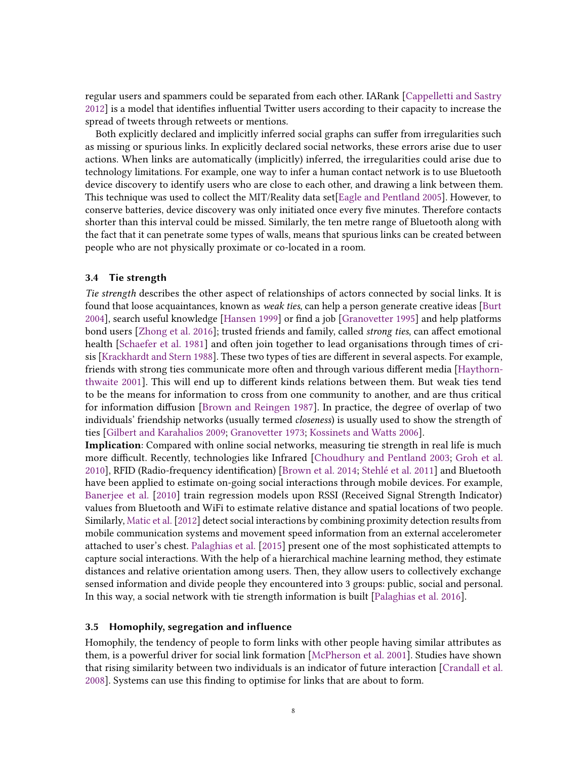regular users and spammers could be separated from each other. IARank [Cappelletti and Sastry 2012] is a model that identifies influential Twitter users according to their capacity to increase the spread of tweets through retweets or mentions.

Both explicitly declared and implicitly inferred social graphs can suffer from irregularities such as missing or spurious links. In explicitly declared social networks, these errors arise due to user actions. When links are automatically (implicitly) inferred, the irregularities could arise due to technology limitations. For example, one way to infer a human contact network is to use Bluetooth device discovery to identify users who are close to each other, and drawing a link between them. This technique was used to collect the MIT/Reality data set[Eagle and Pentland 2005]. However, to conserve batteries, device discovery was only initiated once every five minutes. Therefore contacts shorter than this interval could be missed. Similarly, the ten metre range of Bluetooth along with the fact that it can penetrate some types of walls, means that spurious links can be created between people who are not physically proximate or co-located in a room.

# 3.4 Tie strength

Tie strength describes the other aspect of relationships of actors connected by social links. It is found that loose acquaintances, known as weak ties, can help a person generate creative ideas [Burt 2004], search useful knowledge [Hansen 1999] or find a job [Granovetter 1995] and help platforms bond users [Zhong et al. 2016]; trusted friends and family, called strong ties, can affect emotional health [Schaefer et al. 1981] and often join together to lead organisations through times of crisis [Krackhardt and Stern 1988]. These two types of ties are different in several aspects. For example, friends with strong ties communicate more often and through various different media [Haythornthwaite 2001]. This will end up to different kinds relations between them. But weak ties tend to be the means for information to cross from one community to another, and are thus critical for information diffusion [Brown and Reingen 1987]. In practice, the degree of overlap of two individuals' friendship networks (usually termed closeness) is usually used to show the strength of ties [Gilbert and Karahalios 2009; Granovetter 1973; Kossinets and Watts 2006].

Implication: Compared with online social networks, measuring tie strength in real life is much more difficult. Recently, technologies like Infrared [Choudhury and Pentland 2003; Groh et al. 2010], RFID (Radio-frequency identification) [Brown et al. 2014; Stehlé et al. 2011] and Bluetooth have been applied to estimate on-going social interactions through mobile devices. For example, Banerjee et al. [2010] train regression models upon RSSI (Received Signal Strength Indicator) values from Bluetooth and WiFi to estimate relative distance and spatial locations of two people. Similarly, Matic et al. [2012] detect social interactions by combining proximity detection results from mobile communication systems and movement speed information from an external accelerometer attached to user's chest. Palaghias et al. [2015] present one of the most sophisticated attempts to capture social interactions. With the help of a hierarchical machine learning method, they estimate distances and relative orientation among users. Then, they allow users to collectively exchange sensed information and divide people they encountered into 3 groups: public, social and personal. In this way, a social network with tie strength information is built [Palaghias et al. 2016].

### 3.5 Homophily, segregation and influence

Homophily, the tendency of people to form links with other people having similar attributes as them, is a powerful driver for social link formation [McPherson et al. 2001]. Studies have shown that rising similarity between two individuals is an indicator of future interaction [Crandall et al. 2008]. Systems can use this finding to optimise for links that are about to form.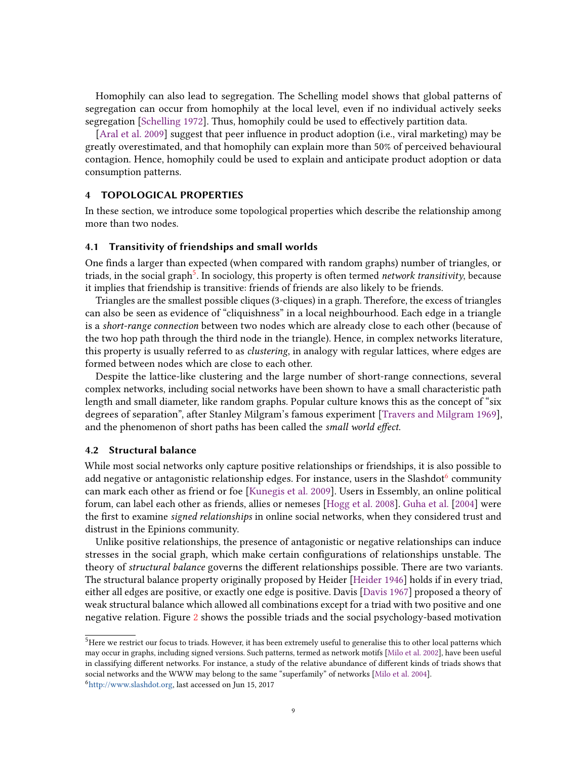Homophily can also lead to segregation. The Schelling model shows that global patterns of segregation can occur from homophily at the local level, even if no individual actively seeks segregation [Schelling 1972]. Thus, homophily could be used to effectively partition data.

[Aral et al. 2009] suggest that peer influence in product adoption (i.e., viral marketing) may be greatly overestimated, and that homophily can explain more than 50% of perceived behavioural contagion. Hence, homophily could be used to explain and anticipate product adoption or data consumption patterns.

# 4 TOPOLOGICAL PROPERTIES

In these section, we introduce some topological properties which describe the relationship among more than two nodes.

# 4.1 Transitivity of friendships and small worlds

One finds a larger than expected (when compared with random graphs) number of triangles, or triads, in the social graph<sup>5</sup>. In sociology, this property is often termed network transitivity, because it implies that friendship is transitive: friends of friends are also likely to be friends.

Triangles are the smallest possible cliques (3-cliques) in a graph. Therefore, the excess of triangles can also be seen as evidence of "cliquishness" in a local neighbourhood. Each edge in a triangle is a short-range connection between two nodes which are already close to each other (because of the two hop path through the third node in the triangle). Hence, in complex networks literature, this property is usually referred to as clustering, in analogy with regular lattices, where edges are formed between nodes which are close to each other.

Despite the lattice-like clustering and the large number of short-range connections, several complex networks, including social networks have been shown to have a small characteristic path length and small diameter, like random graphs. Popular culture knows this as the concept of "six degrees of separation", after Stanley Milgram's famous experiment [Travers and Milgram 1969], and the phenomenon of short paths has been called the small world effect.

#### 4.2 Structural balance

While most social networks only capture positive relationships or friendships, it is also possible to add negative or antagonistic relationship edges. For instance, users in the Slashdot $^6$  community can mark each other as friend or foe [Kunegis et al. 2009]. Users in Essembly, an online political forum, can label each other as friends, allies or nemeses [Hogg et al. 2008]. Guha et al. [2004] were the first to examine signed relationships in online social networks, when they considered trust and distrust in the Epinions community.

Unlike positive relationships, the presence of antagonistic or negative relationships can induce stresses in the social graph, which make certain configurations of relationships unstable. The theory of structural balance governs the different relationships possible. There are two variants. The structural balance property originally proposed by Heider [Heider 1946] holds if in every triad, either all edges are positive, or exactly one edge is positive. Davis [Davis 1967] proposed a theory of weak structural balance which allowed all combinations except for a triad with two positive and one negative relation. Figure 2 shows the possible triads and the social psychology-based motivation

<sup>&</sup>lt;sup>5</sup>Here we restrict our focus to triads. However, it has been extremely useful to generalise this to other local patterns which may occur in graphs, including signed versions. Such patterns, termed as network motifs [Milo et al. 2002], have been useful in classifying different networks. For instance, a study of the relative abundance of different kinds of triads shows that social networks and the WWW may belong to the same "superfamily" of networks [Milo et al. 2004].

<sup>6</sup>http://www.slashdot.org, last accessed on Jun 15, 2017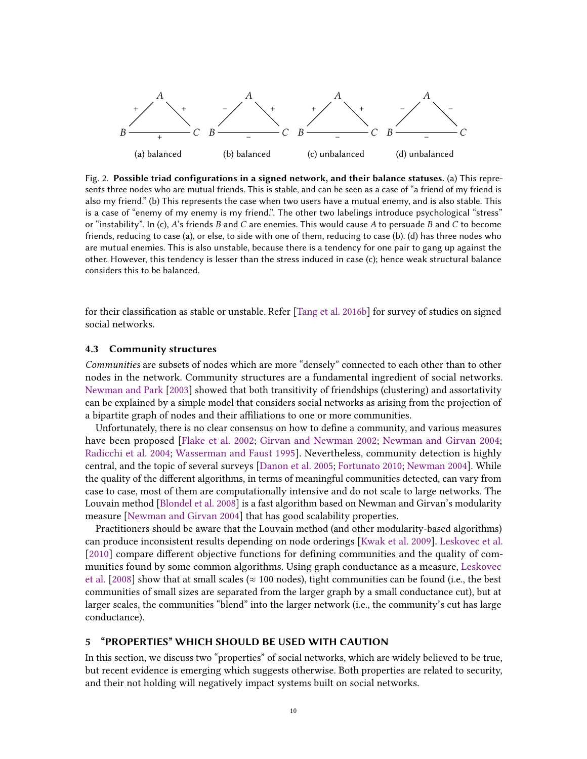

Fig. 2. Possible triad configurations in a signed network, and their balance statuses. (a) This represents three nodes who are mutual friends. This is stable, and can be seen as a case of "a friend of my friend is also my friend." (b) This represents the case when two users have a mutual enemy, and is also stable. This is a case of "enemy of my enemy is my friend.". The other two labelings introduce psychological "stress" or "instability". In (c),  $A$ 's friends  $B$  and  $C$  are enemies. This would cause  $A$  to persuade  $B$  and  $C$  to become friends, reducing to case (a), or else, to side with one of them, reducing to case (b). (d) has three nodes who are mutual enemies. This is also unstable, because there is a tendency for one pair to gang up against the other. However, this tendency is lesser than the stress induced in case (c); hence weak structural balance considers this to be balanced.

for their classification as stable or unstable. Refer [Tang et al. 2016b] for survey of studies on signed social networks.

### 4.3 Community structures

Communities are subsets of nodes which are more "densely" connected to each other than to other nodes in the network. Community structures are a fundamental ingredient of social networks. Newman and Park [2003] showed that both transitivity of friendships (clustering) and assortativity can be explained by a simple model that considers social networks as arising from the projection of a bipartite graph of nodes and their affiliations to one or more communities.

Unfortunately, there is no clear consensus on how to define a community, and various measures have been proposed [Flake et al. 2002; Girvan and Newman 2002; Newman and Girvan 2004; Radicchi et al. 2004; Wasserman and Faust 1995]. Nevertheless, community detection is highly central, and the topic of several surveys [Danon et al. 2005; Fortunato 2010; Newman 2004]. While the quality of the different algorithms, in terms of meaningful communities detected, can vary from case to case, most of them are computationally intensive and do not scale to large networks. The Louvain method [Blondel et al. 2008] is a fast algorithm based on Newman and Girvan's modularity measure [Newman and Girvan 2004] that has good scalability properties.

Practitioners should be aware that the Louvain method (and other modularity-based algorithms) can produce inconsistent results depending on node orderings [Kwak et al. 2009]. Leskovec et al. [2010] compare different objective functions for defining communities and the quality of communities found by some common algorithms. Using graph conductance as a measure, Leskovec et al. [2008] show that at small scales ( $\approx$  100 nodes), tight communities can be found (i.e., the best communities of small sizes are separated from the larger graph by a small conductance cut), but at larger scales, the communities "blend" into the larger network (i.e., the community's cut has large conductance).

# 5 "PROPERTIES" WHICH SHOULD BE USED WITH CAUTION

In this section, we discuss two "properties" of social networks, which are widely believed to be true, but recent evidence is emerging which suggests otherwise. Both properties are related to security, and their not holding will negatively impact systems built on social networks.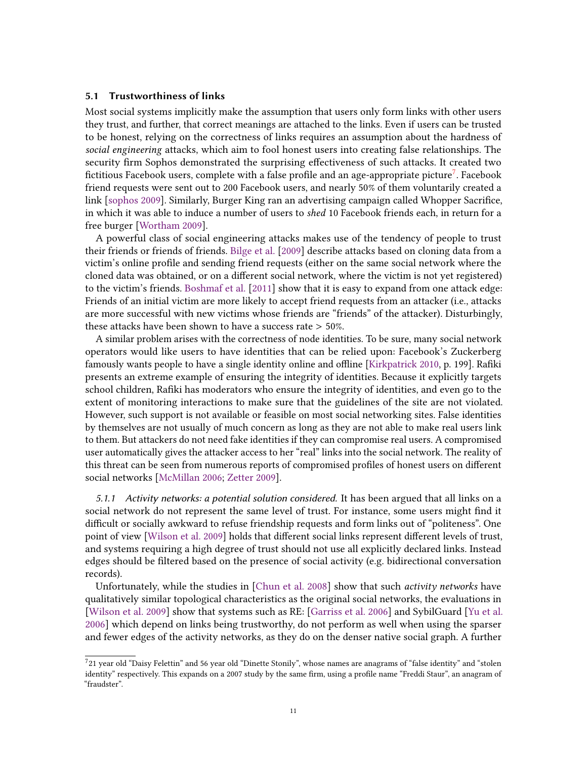### 5.1 Trustworthiness of links

Most social systems implicitly make the assumption that users only form links with other users they trust, and further, that correct meanings are attached to the links. Even if users can be trusted to be honest, relying on the correctness of links requires an assumption about the hardness of social engineering attacks, which aim to fool honest users into creating false relationships. The security firm Sophos demonstrated the surprising effectiveness of such attacks. It created two fictitious Facebook users, complete with a false profile and an age-appropriate picture<sup>7</sup>. Facebook friend requests were sent out to 200 Facebook users, and nearly 50% of them voluntarily created a link [sophos 2009]. Similarly, Burger King ran an advertising campaign called Whopper Sacrifice, in which it was able to induce a number of users to *shed* 10 Facebook friends each, in return for a free burger [Wortham 2009].

A powerful class of social engineering attacks makes use of the tendency of people to trust their friends or friends of friends. Bilge et al. [2009] describe attacks based on cloning data from a victim's online profile and sending friend requests (either on the same social network where the cloned data was obtained, or on a different social network, where the victim is not yet registered) to the victim's friends. Boshmaf et al. [2011] show that it is easy to expand from one attack edge: Friends of an initial victim are more likely to accept friend requests from an attacker (i.e., attacks are more successful with new victims whose friends are "friends" of the attacker). Disturbingly, these attacks have been shown to have a success rate > 50%.

A similar problem arises with the correctness of node identities. To be sure, many social network operators would like users to have identities that can be relied upon: Facebook's Zuckerberg famously wants people to have a single identity online and offline [Kirkpatrick 2010, p. 199]. Rafiki presents an extreme example of ensuring the integrity of identities. Because it explicitly targets school children, Rafiki has moderators who ensure the integrity of identities, and even go to the extent of monitoring interactions to make sure that the guidelines of the site are not violated. However, such support is not available or feasible on most social networking sites. False identities by themselves are not usually of much concern as long as they are not able to make real users link to them. But attackers do not need fake identities if they can compromise real users. A compromised user automatically gives the attacker access to her "real" links into the social network. The reality of this threat can be seen from numerous reports of compromised profiles of honest users on different social networks [McMillan 2006; Zetter 2009].

5.1.1 Activity networks: a potential solution considered. It has been argued that all links on a social network do not represent the same level of trust. For instance, some users might find it difficult or socially awkward to refuse friendship requests and form links out of "politeness". One point of view [Wilson et al. 2009] holds that different social links represent different levels of trust, and systems requiring a high degree of trust should not use all explicitly declared links. Instead edges should be filtered based on the presence of social activity (e.g. bidirectional conversation records).

Unfortunately, while the studies in [Chun et al. 2008] show that such *activity networks* have qualitatively similar topological characteristics as the original social networks, the evaluations in [Wilson et al. 2009] show that systems such as RE: [Garriss et al. 2006] and SybilGuard [Yu et al. 2006] which depend on links being trustworthy, do not perform as well when using the sparser and fewer edges of the activity networks, as they do on the denser native social graph. A further

<sup>7</sup> 21 year old "Daisy Felettin" and 56 year old "Dinette Stonily", whose names are anagrams of "false identity" and "stolen identity" respectively. This expands on a 2007 study by the same firm, using a profile name "Freddi Staur", an anagram of "fraudster".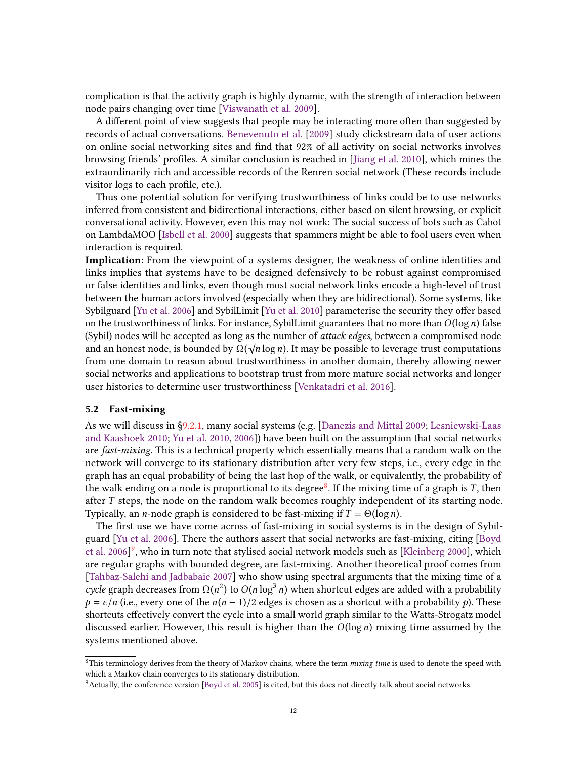complication is that the activity graph is highly dynamic, with the strength of interaction between node pairs changing over time [Viswanath et al. 2009].

A different point of view suggests that people may be interacting more often than suggested by records of actual conversations. Benevenuto et al. [2009] study clickstream data of user actions on online social networking sites and find that 92% of all activity on social networks involves browsing friends' profiles. A similar conclusion is reached in [Jiang et al. 2010], which mines the extraordinarily rich and accessible records of the Renren social network (These records include visitor logs to each profile, etc.).

Thus one potential solution for verifying trustworthiness of links could be to use networks inferred from consistent and bidirectional interactions, either based on silent browsing, or explicit conversational activity. However, even this may not work: The social success of bots such as Cabot on LambdaMOO [Isbell et al. 2000] suggests that spammers might be able to fool users even when interaction is required.

Implication: From the viewpoint of a systems designer, the weakness of online identities and links implies that systems have to be designed defensively to be robust against compromised or false identities and links, even though most social network links encode a high-level of trust between the human actors involved (especially when they are bidirectional). Some systems, like Sybilguard [Yu et al. 2006] and SybilLimit [Yu et al. 2010] parameterise the security they offer based on the trustworthiness of links. For instance, SybilLimit guarantees that no more than  $O(\log n)$  false (Sybil) nodes will be accepted as long as the number of attack edges, between a compromised node and an honest node, is bounded by  $\Omega(\sqrt{n} \log n)$ . It may be possible to leverage trust computations from one domain to reason about trustworthiness in another domain, thereby allowing newer social networks and applications to bootstrap trust from more mature social networks and longer user histories to determine user trustworthiness [Venkatadri et al. 2016].

#### 5.2 Fast-mixing

As we will discuss in §9.2.1, many social systems (e.g. [Danezis and Mittal 2009; Lesniewski-Laas and Kaashoek 2010; Yu et al. 2010, 2006]) have been built on the assumption that social networks are fast-mixing. This is a technical property which essentially means that a random walk on the network will converge to its stationary distribution after very few steps, i.e., every edge in the graph has an equal probability of being the last hop of the walk, or equivalently, the probability of the walk ending on a node is proportional to its degree $^8$ . If the mixing time of a graph is  $T$ , then after T steps, the node on the random walk becomes roughly independent of its starting node. Typically, an *n*-node graph is considered to be fast-mixing if  $T = \Theta(\log n)$ .

The first use we have come across of fast-mixing in social systems is in the design of Sybilguard [Yu et al. 2006]. There the authors assert that social networks are fast-mixing, citing [Boyd et al. 2006]<sup>9</sup>, who in turn note that stylised social network models such as [Kleinberg 2000], which are regular graphs with bounded degree, are fast-mixing. Another theoretical proof comes from [Tahbaz-Salehi and Jadbabaie 2007] who show using spectral arguments that the mixing time of a cycle graph decreases from  $\Omega(n^2)$  to  $O(n \log^3 n)$  when shortcut edges are added with a probability  $p = \epsilon/n$  (i.e., every one of the  $n(n-1)/2$  edges is chosen as a shortcut with a probability p). These shortcuts effectively convert the cycle into a small world graph similar to the Watts-Strogatz model discussed earlier. However, this result is higher than the  $O(log n)$  mixing time assumed by the systems mentioned above.

 $8$ This terminology derives from the theory of Markov chains, where the term *mixing time* is used to denote the speed with which a Markov chain converges to its stationary distribution.

<sup>9</sup>Actually, the conference version [Boyd et al. 2005] is cited, but this does not directly talk about social networks.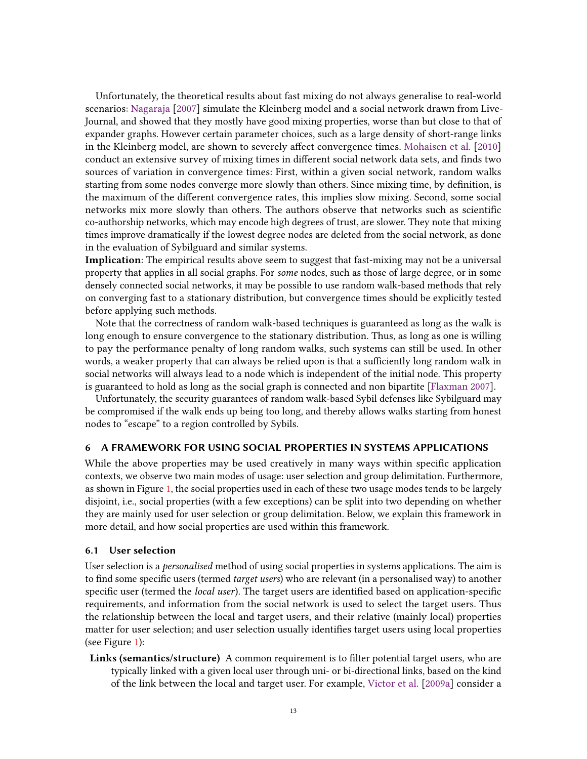Unfortunately, the theoretical results about fast mixing do not always generalise to real-world scenarios: Nagaraja [2007] simulate the Kleinberg model and a social network drawn from Live-Journal, and showed that they mostly have good mixing properties, worse than but close to that of expander graphs. However certain parameter choices, such as a large density of short-range links in the Kleinberg model, are shown to severely affect convergence times. Mohaisen et al. [2010] conduct an extensive survey of mixing times in different social network data sets, and finds two sources of variation in convergence times: First, within a given social network, random walks starting from some nodes converge more slowly than others. Since mixing time, by definition, is the maximum of the different convergence rates, this implies slow mixing. Second, some social networks mix more slowly than others. The authors observe that networks such as scientific co-authorship networks, which may encode high degrees of trust, are slower. They note that mixing times improve dramatically if the lowest degree nodes are deleted from the social network, as done in the evaluation of Sybilguard and similar systems.

Implication: The empirical results above seem to suggest that fast-mixing may not be a universal property that applies in all social graphs. For some nodes, such as those of large degree, or in some densely connected social networks, it may be possible to use random walk-based methods that rely on converging fast to a stationary distribution, but convergence times should be explicitly tested before applying such methods.

Note that the correctness of random walk-based techniques is guaranteed as long as the walk is long enough to ensure convergence to the stationary distribution. Thus, as long as one is willing to pay the performance penalty of long random walks, such systems can still be used. In other words, a weaker property that can always be relied upon is that a sufficiently long random walk in social networks will always lead to a node which is independent of the initial node. This property is guaranteed to hold as long as the social graph is connected and non bipartite [Flaxman 2007].

Unfortunately, the security guarantees of random walk-based Sybil defenses like Sybilguard may be compromised if the walk ends up being too long, and thereby allows walks starting from honest nodes to "escape" to a region controlled by Sybils.

# 6 A FRAMEWORK FOR USING SOCIAL PROPERTIES IN SYSTEMS APPLICATIONS

While the above properties may be used creatively in many ways within specific application contexts, we observe two main modes of usage: user selection and group delimitation. Furthermore, as shown in Figure 1, the social properties used in each of these two usage modes tends to be largely disjoint, i.e., social properties (with a few exceptions) can be split into two depending on whether they are mainly used for user selection or group delimitation. Below, we explain this framework in more detail, and how social properties are used within this framework.

#### 6.1 User selection

User selection is a personalised method of using social properties in systems applications. The aim is to find some specific users (termed target users) who are relevant (in a personalised way) to another specific user (termed the local user). The target users are identified based on application-specific requirements, and information from the social network is used to select the target users. Thus the relationship between the local and target users, and their relative (mainly local) properties matter for user selection; and user selection usually identifies target users using local properties (see Figure 1):

Links (semantics/structure) A common requirement is to filter potential target users, who are typically linked with a given local user through uni- or bi-directional links, based on the kind of the link between the local and target user. For example, Victor et al. [2009a] consider a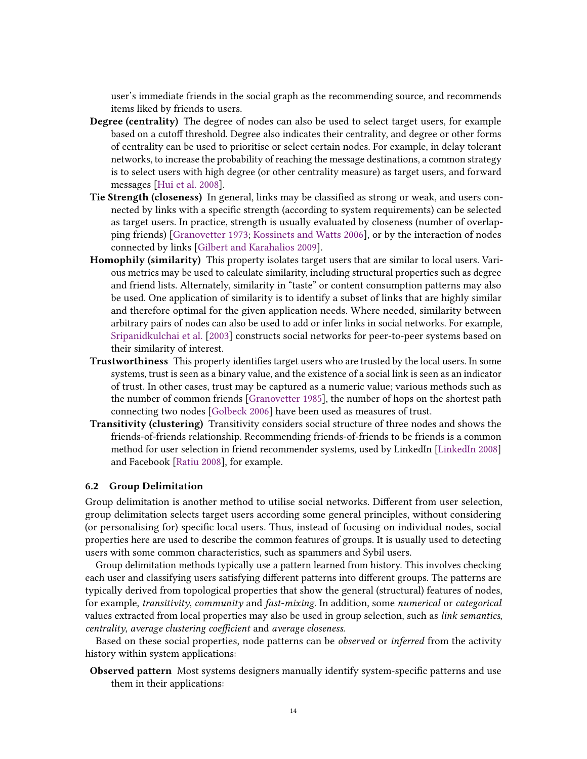user's immediate friends in the social graph as the recommending source, and recommends items liked by friends to users.

- Degree (centrality) The degree of nodes can also be used to select target users, for example based on a cutoff threshold. Degree also indicates their centrality, and degree or other forms of centrality can be used to prioritise or select certain nodes. For example, in delay tolerant networks, to increase the probability of reaching the message destinations, a common strategy is to select users with high degree (or other centrality measure) as target users, and forward messages [Hui et al. 2008].
- Tie Strength (closeness) In general, links may be classified as strong or weak, and users connected by links with a specific strength (according to system requirements) can be selected as target users. In practice, strength is usually evaluated by closeness (number of overlapping friends) [Granovetter 1973; Kossinets and Watts 2006], or by the interaction of nodes connected by links [Gilbert and Karahalios 2009].
- Homophily (similarity) This property isolates target users that are similar to local users. Various metrics may be used to calculate similarity, including structural properties such as degree and friend lists. Alternately, similarity in "taste" or content consumption patterns may also be used. One application of similarity is to identify a subset of links that are highly similar and therefore optimal for the given application needs. Where needed, similarity between arbitrary pairs of nodes can also be used to add or infer links in social networks. For example, Sripanidkulchai et al. [2003] constructs social networks for peer-to-peer systems based on their similarity of interest.
- Trustworthiness This property identifies target users who are trusted by the local users. In some systems, trust is seen as a binary value, and the existence of a social link is seen as an indicator of trust. In other cases, trust may be captured as a numeric value; various methods such as the number of common friends [Granovetter 1985], the number of hops on the shortest path connecting two nodes [Golbeck 2006] have been used as measures of trust.
- Transitivity (clustering) Transitivity considers social structure of three nodes and shows the friends-of-friends relationship. Recommending friends-of-friends to be friends is a common method for user selection in friend recommender systems, used by LinkedIn [LinkedIn 2008] and Facebook [Ratiu 2008], for example.

# 6.2 Group Delimitation

Group delimitation is another method to utilise social networks. Different from user selection, group delimitation selects target users according some general principles, without considering (or personalising for) specific local users. Thus, instead of focusing on individual nodes, social properties here are used to describe the common features of groups. It is usually used to detecting users with some common characteristics, such as spammers and Sybil users.

Group delimitation methods typically use a pattern learned from history. This involves checking each user and classifying users satisfying different patterns into different groups. The patterns are typically derived from topological properties that show the general (structural) features of nodes, for example, transitivity, community and fast-mixing. In addition, some numerical or categorical values extracted from local properties may also be used in group selection, such as link semantics, centrality, average clustering coefficient and average closeness.

Based on these social properties, node patterns can be observed or inferred from the activity history within system applications:

Observed pattern Most systems designers manually identify system-specific patterns and use them in their applications: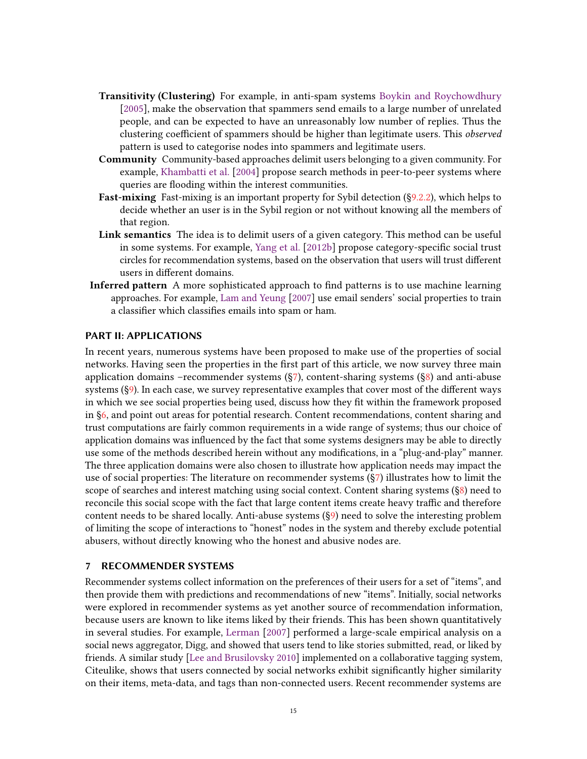- Transitivity (Clustering) For example, in anti-spam systems Boykin and Roychowdhury [2005], make the observation that spammers send emails to a large number of unrelated people, and can be expected to have an unreasonably low number of replies. Thus the clustering coefficient of spammers should be higher than legitimate users. This observed pattern is used to categorise nodes into spammers and legitimate users.
- Community Community-based approaches delimit users belonging to a given community. For example, Khambatti et al. [2004] propose search methods in peer-to-peer systems where queries are flooding within the interest communities.
- Fast-mixing Fast-mixing is an important property for Sybil detection (§9.2.2), which helps to decide whether an user is in the Sybil region or not without knowing all the members of that region.
- Link semantics The idea is to delimit users of a given category. This method can be useful in some systems. For example, Yang et al. [2012b] propose category-specific social trust circles for recommendation systems, based on the observation that users will trust different users in different domains.
- Inferred pattern A more sophisticated approach to find patterns is to use machine learning approaches. For example, Lam and Yeung [2007] use email senders' social properties to train a classifier which classifies emails into spam or ham.

# PART II: APPLICATIONS

In recent years, numerous systems have been proposed to make use of the properties of social networks. Having seen the properties in the first part of this article, we now survey three main application domains –recommender systems (§7), content-sharing systems (§8) and anti-abuse systems (§9). In each case, we survey representative examples that cover most of the different ways in which we see social properties being used, discuss how they fit within the framework proposed in §6, and point out areas for potential research. Content recommendations, content sharing and trust computations are fairly common requirements in a wide range of systems; thus our choice of application domains was influenced by the fact that some systems designers may be able to directly use some of the methods described herein without any modifications, in a "plug-and-play" manner. The three application domains were also chosen to illustrate how application needs may impact the use of social properties: The literature on recommender systems (§7) illustrates how to limit the scope of searches and interest matching using social context. Content sharing systems (§8) need to reconcile this social scope with the fact that large content items create heavy traffic and therefore content needs to be shared locally. Anti-abuse systems (§9) need to solve the interesting problem of limiting the scope of interactions to "honest" nodes in the system and thereby exclude potential abusers, without directly knowing who the honest and abusive nodes are.

# 7 RECOMMENDER SYSTEMS

Recommender systems collect information on the preferences of their users for a set of "items", and then provide them with predictions and recommendations of new "items". Initially, social networks were explored in recommender systems as yet another source of recommendation information, because users are known to like items liked by their friends. This has been shown quantitatively in several studies. For example, Lerman [2007] performed a large-scale empirical analysis on a social news aggregator, Digg, and showed that users tend to like stories submitted, read, or liked by friends. A similar study [Lee and Brusilovsky 2010] implemented on a collaborative tagging system, Citeulike, shows that users connected by social networks exhibit significantly higher similarity on their items, meta-data, and tags than non-connected users. Recent recommender systems are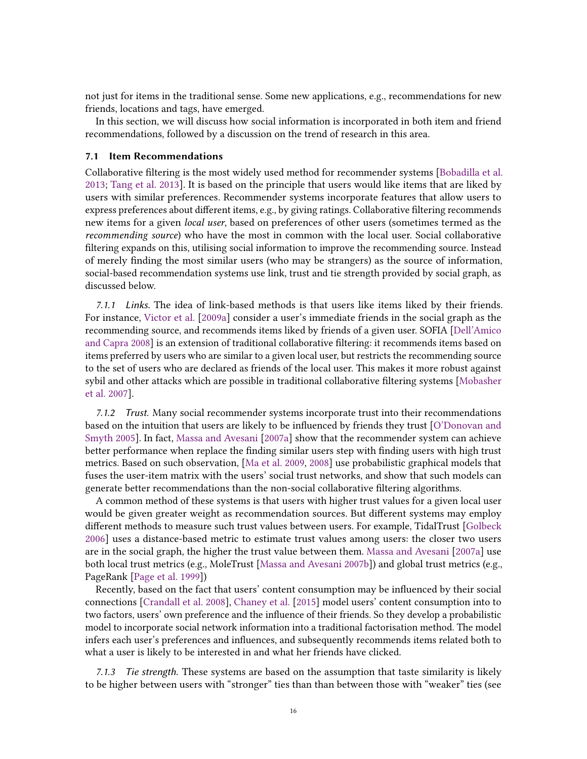not just for items in the traditional sense. Some new applications, e.g., recommendations for new friends, locations and tags, have emerged.

In this section, we will discuss how social information is incorporated in both item and friend recommendations, followed by a discussion on the trend of research in this area.

#### 7.1 Item Recommendations

Collaborative filtering is the most widely used method for recommender systems [Bobadilla et al. 2013; Tang et al. 2013]. It is based on the principle that users would like items that are liked by users with similar preferences. Recommender systems incorporate features that allow users to express preferences about different items, e.g., by giving ratings. Collaborative filtering recommends new items for a given local user, based on preferences of other users (sometimes termed as the recommending source) who have the most in common with the local user. Social collaborative filtering expands on this, utilising social information to improve the recommending source. Instead of merely finding the most similar users (who may be strangers) as the source of information, social-based recommendation systems use link, trust and tie strength provided by social graph, as discussed below.

7.1.1 Links. The idea of link-based methods is that users like items liked by their friends. For instance, Victor et al. [2009a] consider a user's immediate friends in the social graph as the recommending source, and recommends items liked by friends of a given user. SOFIA [Dell'Amico and Capra 2008] is an extension of traditional collaborative filtering: it recommends items based on items preferred by users who are similar to a given local user, but restricts the recommending source to the set of users who are declared as friends of the local user. This makes it more robust against sybil and other attacks which are possible in traditional collaborative filtering systems [Mobasher et al. 2007].

7.1.2 Trust. Many social recommender systems incorporate trust into their recommendations based on the intuition that users are likely to be influenced by friends they trust [O'Donovan and Smyth 2005]. In fact, Massa and Avesani [2007a] show that the recommender system can achieve better performance when replace the finding similar users step with finding users with high trust metrics. Based on such observation, [Ma et al. 2009, 2008] use probabilistic graphical models that fuses the user-item matrix with the users' social trust networks, and show that such models can generate better recommendations than the non-social collaborative filtering algorithms.

A common method of these systems is that users with higher trust values for a given local user would be given greater weight as recommendation sources. But different systems may employ different methods to measure such trust values between users. For example, TidalTrust [Golbeck 2006] uses a distance-based metric to estimate trust values among users: the closer two users are in the social graph, the higher the trust value between them. Massa and Avesani [2007a] use both local trust metrics (e.g., MoleTrust [Massa and Avesani 2007b]) and global trust metrics (e.g., PageRank [Page et al. 1999])

Recently, based on the fact that users' content consumption may be influenced by their social connections [Crandall et al. 2008], Chaney et al. [2015] model users' content consumption into to two factors, users' own preference and the influence of their friends. So they develop a probabilistic model to incorporate social network information into a traditional factorisation method. The model infers each user's preferences and influences, and subsequently recommends items related both to what a user is likely to be interested in and what her friends have clicked.

7.1.3 Tie strength. These systems are based on the assumption that taste similarity is likely to be higher between users with "stronger" ties than than between those with "weaker" ties (see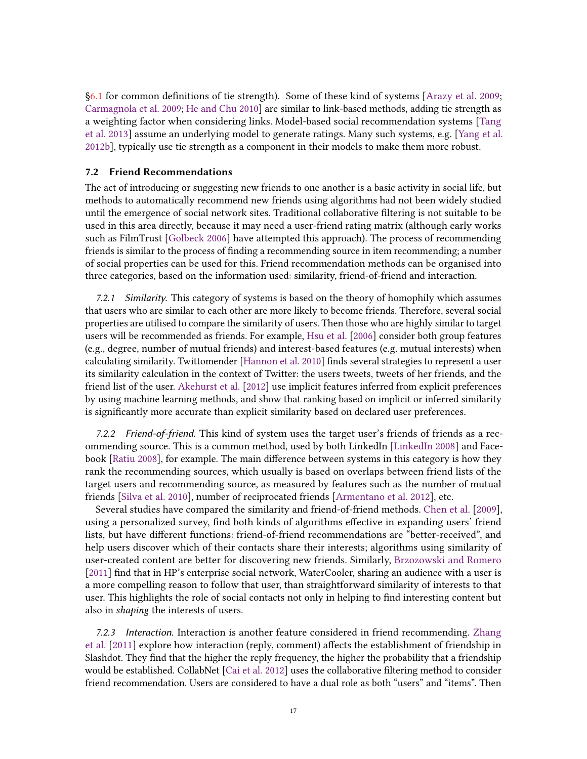§6.1 for common definitions of tie strength). Some of these kind of systems [Arazy et al. 2009; Carmagnola et al. 2009; He and Chu 2010] are similar to link-based methods, adding tie strength as a weighting factor when considering links. Model-based social recommendation systems [Tang et al. 2013] assume an underlying model to generate ratings. Many such systems, e.g. [Yang et al. 2012b], typically use tie strength as a component in their models to make them more robust.

# 7.2 Friend Recommendations

The act of introducing or suggesting new friends to one another is a basic activity in social life, but methods to automatically recommend new friends using algorithms had not been widely studied until the emergence of social network sites. Traditional collaborative filtering is not suitable to be used in this area directly, because it may need a user-friend rating matrix (although early works such as FilmTrust [Golbeck 2006] have attempted this approach). The process of recommending friends is similar to the process of finding a recommending source in item recommending; a number of social properties can be used for this. Friend recommendation methods can be organised into three categories, based on the information used: similarity, friend-of-friend and interaction.

7.2.1 Similarity. This category of systems is based on the theory of homophily which assumes that users who are similar to each other are more likely to become friends. Therefore, several social properties are utilised to compare the similarity of users. Then those who are highly similar to target users will be recommended as friends. For example, Hsu et al. [2006] consider both group features (e.g., degree, number of mutual friends) and interest-based features (e.g. mutual interests) when calculating similarity. Twittomender [Hannon et al. 2010] finds several strategies to represent a user its similarity calculation in the context of Twitter: the users tweets, tweets of her friends, and the friend list of the user. Akehurst et al. [2012] use implicit features inferred from explicit preferences by using machine learning methods, and show that ranking based on implicit or inferred similarity is significantly more accurate than explicit similarity based on declared user preferences.

7.2.2 Friend-of-friend. This kind of system uses the target user's friends of friends as a recommending source. This is a common method, used by both LinkedIn [LinkedIn 2008] and Facebook [Ratiu 2008], for example. The main difference between systems in this category is how they rank the recommending sources, which usually is based on overlaps between friend lists of the target users and recommending source, as measured by features such as the number of mutual friends [Silva et al. 2010], number of reciprocated friends [Armentano et al. 2012], etc.

Several studies have compared the similarity and friend-of-friend methods. Chen et al. [2009], using a personalized survey, find both kinds of algorithms effective in expanding users' friend lists, but have different functions: friend-of-friend recommendations are "better-received", and help users discover which of their contacts share their interests; algorithms using similarity of user-created content are better for discovering new friends. Similarly, Brzozowski and Romero [2011] find that in HP's enterprise social network, WaterCooler, sharing an audience with a user is a more compelling reason to follow that user, than straightforward similarity of interests to that user. This highlights the role of social contacts not only in helping to find interesting content but also in shaping the interests of users.

7.2.3 Interaction. Interaction is another feature considered in friend recommending. Zhang et al. [2011] explore how interaction (reply, comment) affects the establishment of friendship in Slashdot. They find that the higher the reply frequency, the higher the probability that a friendship would be established. CollabNet [Cai et al. 2012] uses the collaborative filtering method to consider friend recommendation. Users are considered to have a dual role as both "users" and "items". Then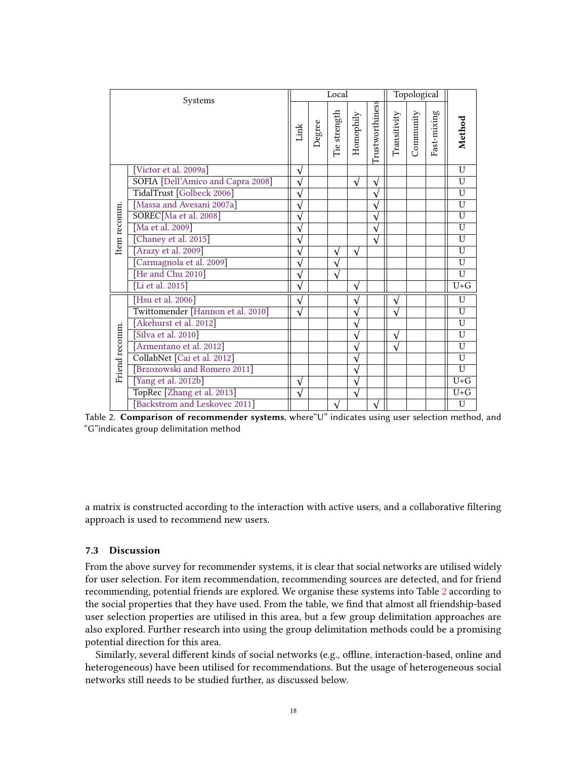| Systems        |                                   |                       |        | Local        |                         | Topological           |                         |           |             |                         |
|----------------|-----------------------------------|-----------------------|--------|--------------|-------------------------|-----------------------|-------------------------|-----------|-------------|-------------------------|
|                |                                   | Link                  | Degree | Tie strength | Homophily               | Trustworthiness       | Transitivity            | Community | Fast-mixing | Method                  |
|                | [Victor et al. 2009a]             | $\sqrt{}$             |        |              |                         |                       |                         |           |             | $\overline{U}$          |
|                | SOFIA [Dell'Amico and Capra 2008] | $\mathbf{\hat{v}}$    |        |              | $\sqrt{}$               | $\checkmark$          |                         |           |             | $\overline{U}$          |
|                | TidalTrust [Golbeck 2006]         | ν                     |        |              |                         | V                     |                         |           |             | $\overline{U}$          |
|                | Massa and Avesani 2007a]          |                       |        |              |                         |                       |                         |           |             | $\overline{\mathrm{U}}$ |
| Item recomm.   | SOREC[Ma et al. 2008]             | Ń                     |        |              |                         | ٧                     |                         |           |             | $\overline{U}$          |
|                | Ma et al. 2009]                   | ν                     |        |              |                         | ٧                     |                         |           |             | U                       |
|                | [Chaney et al. 2015]              | ٦                     |        |              |                         | $\overline{\sqrt{2}}$ |                         |           |             | $\overline{\mathtt{U}}$ |
|                | [Arazy et al. 2009]               | V                     |        | $\sqrt{}$    | $\sqrt{}$               |                       |                         |           |             | $\overline{\mathtt{U}}$ |
|                | [Carmagnola et al. 2009]          | ٦                     |        | V            |                         |                       |                         |           |             | U                       |
|                | [He and Chu 2010]                 | ٦                     |        |              |                         |                       |                         |           |             | $\overline{U}$          |
|                | [Li et al. 2015]                  | $\overline{\sqrt{2}}$ |        |              | $\sqrt{}$               |                       |                         |           |             | $U+G$                   |
|                | [Hsu et al. 2006]                 | ν                     |        |              | $\checkmark$            |                       | $\sqrt{}$               |           |             | $\mathbf U$             |
|                | Twittomender [Hannon et al. 2010] | $\sqrt{}$             |        |              | $\overline{\mathsf{v}}$ |                       | $\overline{\mathsf{v}}$ |           |             | $\overline{\mathrm{U}}$ |
|                | [Akehurst et al. 2012]            |                       |        |              | ν                       |                       |                         |           |             | U                       |
|                | [Silva et al. 2010]               |                       |        |              | ٧                       |                       | $\sqrt{}$               |           |             | $\overline{U}$          |
|                | [Armentano et al. 2012]           |                       |        |              | V                       |                       | $\overline{\sqrt{} }$   |           |             | $\overline{U}$          |
|                | CollabNet [Cai et al. 2012]       |                       |        |              | Ń                       |                       |                         |           |             | U                       |
| Friend recomm. | [Brzozowski and Romero 2011]      |                       |        |              | $\mathbf{\hat{v}}$      |                       |                         |           |             | $\overline{U}$          |
|                | [Yang et al. 2012b]               | ٧                     |        |              | $\bar{\sqrt{}}$         |                       |                         |           |             | $\overline{U+G}$        |
|                | TopRec [Zhang et al. 2013]        | J                     |        |              | V                       |                       |                         |           |             | $\overline{U+G}$        |
|                | [Backstrom and Leskovec 2011]     |                       |        | $\checkmark$ |                         | $\sqrt{}$             |                         |           |             | $\overline{U}$          |

Table 2. Comparison of recommender systems, where"U" indicates using user selection method, and "G"indicates group delimitation method

a matrix is constructed according to the interaction with active users, and a collaborative filtering approach is used to recommend new users.

# 7.3 Discussion

From the above survey for recommender systems, it is clear that social networks are utilised widely for user selection. For item recommendation, recommending sources are detected, and for friend recommending, potential friends are explored. We organise these systems into Table 2 according to the social properties that they have used. From the table, we find that almost all friendship-based user selection properties are utilised in this area, but a few group delimitation approaches are also explored. Further research into using the group delimitation methods could be a promising potential direction for this area.

Similarly, several different kinds of social networks (e.g., offline, interaction-based, online and heterogeneous) have been utilised for recommendations. But the usage of heterogeneous social networks still needs to be studied further, as discussed below.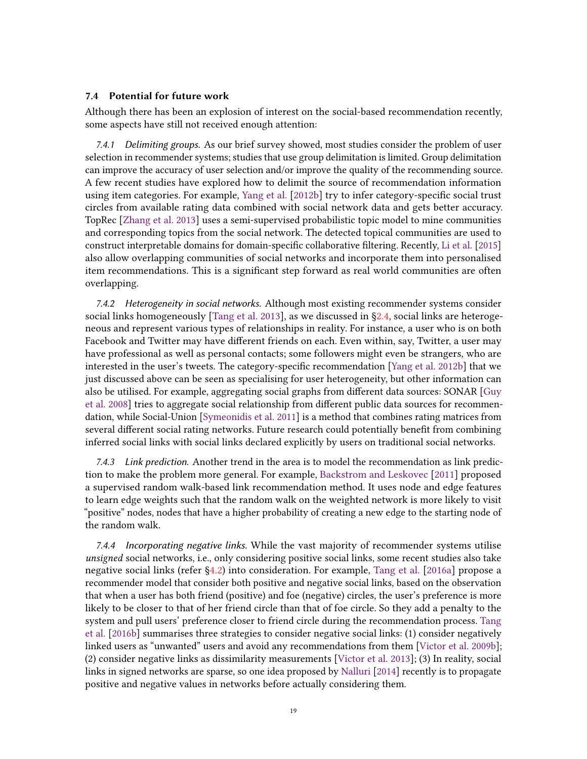### 7.4 Potential for future work

Although there has been an explosion of interest on the social-based recommendation recently, some aspects have still not received enough attention:

7.4.1 Delimiting groups. As our brief survey showed, most studies consider the problem of user selection in recommender systems; studies that use group delimitation is limited. Group delimitation can improve the accuracy of user selection and/or improve the quality of the recommending source. A few recent studies have explored how to delimit the source of recommendation information using item categories. For example, Yang et al. [2012b] try to infer category-specific social trust circles from available rating data combined with social network data and gets better accuracy. TopRec [Zhang et al. 2013] uses a semi-supervised probabilistic topic model to mine communities and corresponding topics from the social network. The detected topical communities are used to construct interpretable domains for domain-specific collaborative filtering. Recently, Li et al. [2015] also allow overlapping communities of social networks and incorporate them into personalised item recommendations. This is a significant step forward as real world communities are often overlapping.

7.4.2 Heterogeneity in social networks. Although most existing recommender systems consider social links homogeneously [Tang et al. 2013], as we discussed in §2.4, social links are heterogeneous and represent various types of relationships in reality. For instance, a user who is on both Facebook and Twitter may have different friends on each. Even within, say, Twitter, a user may have professional as well as personal contacts; some followers might even be strangers, who are interested in the user's tweets. The category-specific recommendation [Yang et al. 2012b] that we just discussed above can be seen as specialising for user heterogeneity, but other information can also be utilised. For example, aggregating social graphs from different data sources: SONAR [Guy et al. 2008] tries to aggregate social relationship from different public data sources for recommendation, while Social-Union [Symeonidis et al. 2011] is a method that combines rating matrices from several different social rating networks. Future research could potentially benefit from combining inferred social links with social links declared explicitly by users on traditional social networks.

7.4.3 Link prediction. Another trend in the area is to model the recommendation as link prediction to make the problem more general. For example, Backstrom and Leskovec [2011] proposed a supervised random walk-based link recommendation method. It uses node and edge features to learn edge weights such that the random walk on the weighted network is more likely to visit "positive" nodes, nodes that have a higher probability of creating a new edge to the starting node of the random walk.

7.4.4 Incorporating negative links. While the vast majority of recommender systems utilise unsigned social networks, i.e., only considering positive social links, some recent studies also take negative social links (refer §4.2) into consideration. For example, Tang et al. [2016a] propose a recommender model that consider both positive and negative social links, based on the observation that when a user has both friend (positive) and foe (negative) circles, the user's preference is more likely to be closer to that of her friend circle than that of foe circle. So they add a penalty to the system and pull users' preference closer to friend circle during the recommendation process. Tang et al. [2016b] summarises three strategies to consider negative social links: (1) consider negatively linked users as "unwanted" users and avoid any recommendations from them [Victor et al. 2009b]; (2) consider negative links as dissimilarity measurements [Victor et al. 2013]; (3) In reality, social links in signed networks are sparse, so one idea proposed by Nalluri [2014] recently is to propagate positive and negative values in networks before actually considering them.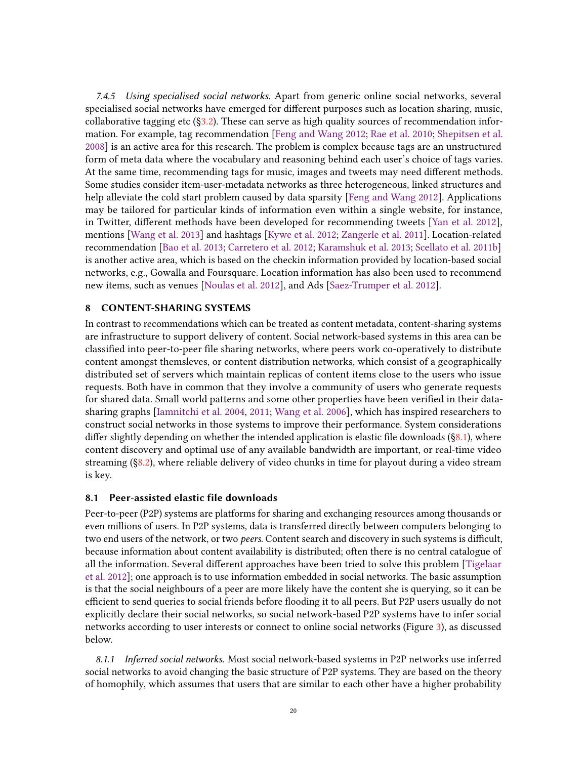7.4.5 Using specialised social networks. Apart from generic online social networks, several specialised social networks have emerged for different purposes such as location sharing, music, collaborative tagging etc  $(§3.2)$ . These can serve as high quality sources of recommendation information. For example, tag recommendation [Feng and Wang 2012; Rae et al. 2010; Shepitsen et al. 2008] is an active area for this research. The problem is complex because tags are an unstructured form of meta data where the vocabulary and reasoning behind each user's choice of tags varies. At the same time, recommending tags for music, images and tweets may need different methods. Some studies consider item-user-metadata networks as three heterogeneous, linked structures and help alleviate the cold start problem caused by data sparsity [Feng and Wang 2012]. Applications may be tailored for particular kinds of information even within a single website, for instance, in Twitter, different methods have been developed for recommending tweets [Yan et al. 2012], mentions [Wang et al. 2013] and hashtags [Kywe et al. 2012; Zangerle et al. 2011]. Location-related recommendation [Bao et al. 2013; Carretero et al. 2012; Karamshuk et al. 2013; Scellato et al. 2011b] is another active area, which is based on the checkin information provided by location-based social networks, e.g., Gowalla and Foursquare. Location information has also been used to recommend new items, such as venues [Noulas et al. 2012], and Ads [Saez-Trumper et al. 2012].

# 8 CONTENT-SHARING SYSTEMS

In contrast to recommendations which can be treated as content metadata, content-sharing systems are infrastructure to support delivery of content. Social network-based systems in this area can be classified into peer-to-peer file sharing networks, where peers work co-operatively to distribute content amongst themsleves, or content distribution networks, which consist of a geographically distributed set of servers which maintain replicas of content items close to the users who issue requests. Both have in common that they involve a community of users who generate requests for shared data. Small world patterns and some other properties have been verified in their datasharing graphs [Iamnitchi et al. 2004, 2011; Wang et al. 2006], which has inspired researchers to construct social networks in those systems to improve their performance. System considerations differ slightly depending on whether the intended application is elastic file downloads (§8.1), where content discovery and optimal use of any available bandwidth are important, or real-time video streaming (§8.2), where reliable delivery of video chunks in time for playout during a video stream is key.

# 8.1 Peer-assisted elastic file downloads

Peer-to-peer (P2P) systems are platforms for sharing and exchanging resources among thousands or even millions of users. In P2P systems, data is transferred directly between computers belonging to two end users of the network, or two peers. Content search and discovery in such systems is difficult, because information about content availability is distributed; often there is no central catalogue of all the information. Several different approaches have been tried to solve this problem [Tigelaar et al. 2012]; one approach is to use information embedded in social networks. The basic assumption is that the social neighbours of a peer are more likely have the content she is querying, so it can be efficient to send queries to social friends before flooding it to all peers. But P2P users usually do not explicitly declare their social networks, so social network-based P2P systems have to infer social networks according to user interests or connect to online social networks (Figure 3), as discussed below.

8.1.1 Inferred social networks. Most social network-based systems in P2P networks use inferred social networks to avoid changing the basic structure of P2P systems. They are based on the theory of homophily, which assumes that users that are similar to each other have a higher probability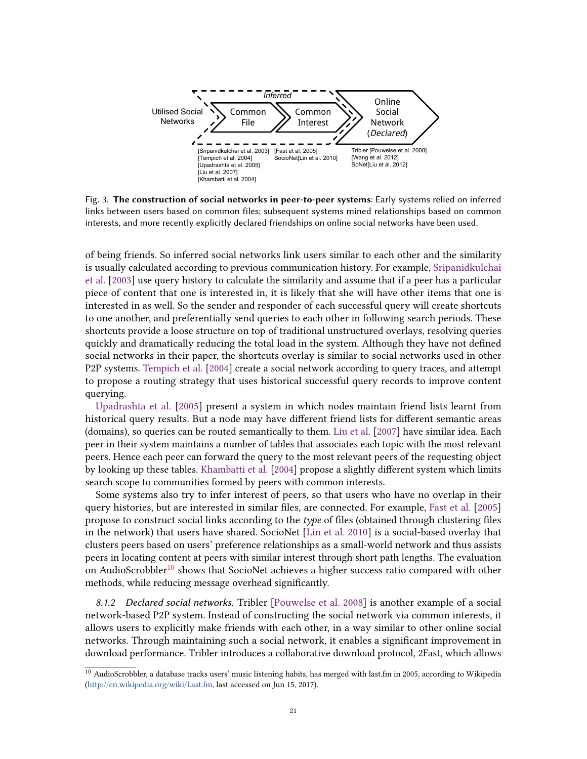

Fig. 3. The construction of social networks in peer-to-peer systems: Early systems relied on inferred links between users based on common files; subsequent systems mined relationships based on common interests, and more recently explicitly declared friendships on online social networks have been used.

of being friends. So inferred social networks link users similar to each other and the similarity is usually calculated according to previous communication history. For example, Sripanidkulchai et al. [2003] use query history to calculate the similarity and assume that if a peer has a particular piece of content that one is interested in, it is likely that she will have other items that one is interested in as well. So the sender and responder of each successful query will create shortcuts to one another, and preferentially send queries to each other in following search periods. These shortcuts provide a loose structure on top of traditional unstructured overlays, resolving queries quickly and dramatically reducing the total load in the system. Although they have not defined social networks in their paper, the shortcuts overlay is similar to social networks used in other P2P systems. Tempich et al. [2004] create a social network according to query traces, and attempt to propose a routing strategy that uses historical successful query records to improve content querying.

Upadrashta et al. [2005] present a system in which nodes maintain friend lists learnt from historical query results. But a node may have different friend lists for different semantic areas (domains), so queries can be routed semantically to them. Liu et al. [2007] have similar idea. Each peer in their system maintains a number of tables that associates each topic with the most relevant peers. Hence each peer can forward the query to the most relevant peers of the requesting object by looking up these tables. Khambatti et al. [2004] propose a slightly different system which limits search scope to communities formed by peers with common interests.

Some systems also try to infer interest of peers, so that users who have no overlap in their query histories, but are interested in similar files, are connected. For example, Fast et al. [2005] propose to construct social links according to the  $type$  of files (obtained through clustering files in the network) that users have shared. SocioNet [Lin et al. 2010] is a social-based overlay that clusters peers based on users' preference relationships as a small-world network and thus assists peers in locating content at peers with similar interest through short path lengths. The evaluation on AudioScrobbler<sup>10</sup> shows that SocioNet achieves a higher success ratio compared with other methods, while reducing message overhead significantly.

8.1.2 Declared social networks. Tribler [Pouwelse et al. 2008] is another example of a social network-based P2P system. Instead of constructing the social network via common interests, it allows users to explicitly make friends with each other, in a way similar to other online social networks. Through maintaining such a social network, it enables a significant improvement in download performance. Tribler introduces a collaborative download protocol, 2Fast, which allows

 $^{10}$  AudioScrobbler, a database tracks users' music listening habits, has merged with last.fm in 2005, according to Wikipedia (http://en.wikipedia.org/wiki/Last.fm, last accessed on Jun 15, 2017).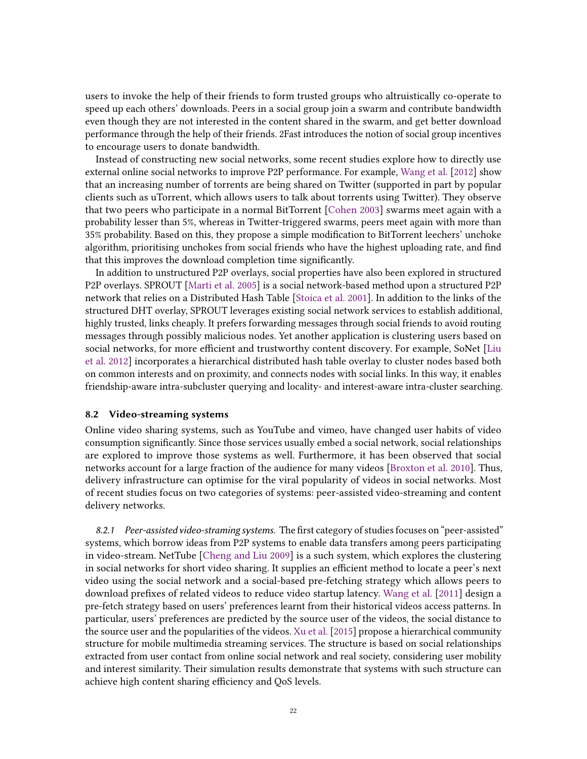users to invoke the help of their friends to form trusted groups who altruistically co-operate to speed up each others' downloads. Peers in a social group join a swarm and contribute bandwidth even though they are not interested in the content shared in the swarm, and get better download performance through the help of their friends. 2Fast introduces the notion of social group incentives to encourage users to donate bandwidth.

Instead of constructing new social networks, some recent studies explore how to directly use external online social networks to improve P2P performance. For example, Wang et al. [2012] show that an increasing number of torrents are being shared on Twitter (supported in part by popular clients such as uTorrent, which allows users to talk about torrents using Twitter). They observe that two peers who participate in a normal BitTorrent [Cohen 2003] swarms meet again with a probability lesser than 5%, whereas in Twitter-triggered swarms, peers meet again with more than 35% probability. Based on this, they propose a simple modification to BitTorrent leechers' unchoke algorithm, prioritising unchokes from social friends who have the highest uploading rate, and find that this improves the download completion time significantly.

In addition to unstructured P2P overlays, social properties have also been explored in structured P2P overlays. SPROUT [Marti et al. 2005] is a social network-based method upon a structured P2P network that relies on a Distributed Hash Table [Stoica et al. 2001]. In addition to the links of the structured DHT overlay, SPROUT leverages existing social network services to establish additional, highly trusted, links cheaply. It prefers forwarding messages through social friends to avoid routing messages through possibly malicious nodes. Yet another application is clustering users based on social networks, for more efficient and trustworthy content discovery. For example, SoNet [Liu et al. 2012] incorporates a hierarchical distributed hash table overlay to cluster nodes based both on common interests and on proximity, and connects nodes with social links. In this way, it enables friendship-aware intra-subcluster querying and locality- and interest-aware intra-cluster searching.

#### 8.2 Video-streaming systems

Online video sharing systems, such as YouTube and vimeo, have changed user habits of video consumption significantly. Since those services usually embed a social network, social relationships are explored to improve those systems as well. Furthermore, it has been observed that social networks account for a large fraction of the audience for many videos [Broxton et al. 2010]. Thus, delivery infrastructure can optimise for the viral popularity of videos in social networks. Most of recent studies focus on two categories of systems: peer-assisted video-streaming and content delivery networks.

8.2.1 Peer-assisted video-straming systems. The first category of studies focuses on "peer-assisted" systems, which borrow ideas from P2P systems to enable data transfers among peers participating in video-stream. NetTube [Cheng and Liu 2009] is a such system, which explores the clustering in social networks for short video sharing. It supplies an efficient method to locate a peer's next video using the social network and a social-based pre-fetching strategy which allows peers to download prefixes of related videos to reduce video startup latency. Wang et al. [2011] design a pre-fetch strategy based on users' preferences learnt from their historical videos access patterns. In particular, users' preferences are predicted by the source user of the videos, the social distance to the source user and the popularities of the videos. Xu et al. [2015] propose a hierarchical community structure for mobile multimedia streaming services. The structure is based on social relationships extracted from user contact from online social network and real society, considering user mobility and interest similarity. Their simulation results demonstrate that systems with such structure can achieve high content sharing efficiency and QoS levels.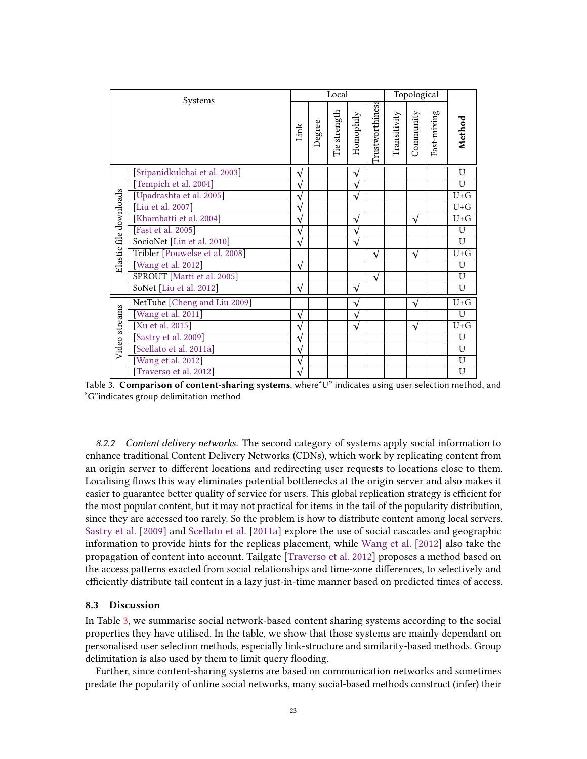| Systems                |                                |                       |        | Local        |                       | Topological     |              |             |             |                         |
|------------------------|--------------------------------|-----------------------|--------|--------------|-----------------------|-----------------|--------------|-------------|-------------|-------------------------|
|                        |                                | Link                  | Degree | Tie strength | Homophily             | Irustworthiness | Transitivity | Community   | Fast-mixing | Method                  |
|                        | [Sripanidkulchai et al. 2003]  | $\sqrt{}$             |        |              | $\sqrt{}$             |                 |              |             |             | U                       |
|                        | [Tempich et al. 2004]          | V                     |        |              | $\overline{\sqrt{2}}$ |                 |              |             |             | $\overline{U}$          |
|                        | [Upadrashta et al. 2005]       | V                     |        |              | $\overline{\sqrt{2}}$ |                 |              |             |             | $\overline{U+G}$        |
| Elastic file downloads | [Liu et al. 2007]              | V                     |        |              |                       |                 |              |             |             | $U+G$                   |
|                        | [Khambatti et al. 2004]        | $\mathbf{v}$          |        |              | $\sqrt{ }$            |                 |              | $\sqrt{}$   |             | $\overline{U+G}$        |
|                        | [Fast et al. 2005]             | $\overline{\sqrt{2}}$ |        |              | $\overline{\sqrt{} }$ |                 |              |             |             | $\overline{\mathrm{U}}$ |
|                        | SocioNet [Lin et al. 2010]     | $\sqrt{}$             |        |              | $\overline{\sqrt{} }$ |                 |              |             |             | $\overline{\mathrm{U}}$ |
|                        | Tribler [Pouwelse et al. 2008] |                       |        |              |                       | $\sqrt{ }$      |              | $\sqrt{}$   |             | $U+G$                   |
|                        | [Wang et al. 2012]             | $\sqrt{}$             |        |              |                       |                 |              |             |             | U                       |
|                        | SPROUT [Marti et al. 2005]     |                       |        |              |                       | $\sqrt{}$       |              |             |             | $\overline{U}$          |
|                        | SoNet [Liu et al. 2012]        | $\sqrt{}$             |        |              | $\sqrt{ }$            |                 |              |             |             | $\overline{U}$          |
|                        | NetTube [Cheng and Liu 2009]   |                       |        |              | ٧                     |                 |              | $\sqrt{ }$  |             | $U+G$                   |
|                        | [Wang et al. 2011]             | $\mathbf v$           |        |              | ν                     |                 |              |             |             | $\overline{U}$          |
|                        | [Xu et al. 2015]               | ν                     |        |              | $\mathbf v$           |                 |              | $\mathbf v$ |             | $U+G$                   |
| Video streams          | [Sastry et al. 2009]           | ν                     |        |              |                       |                 |              |             |             | U                       |
|                        | [Scellato et al. 2011a]        | $\mathsf v$           |        |              |                       |                 |              |             |             | $\overline{U}$          |
|                        | [Wang et al. 2012]             | V                     |        |              |                       |                 |              |             |             | $\mathbf U$             |
|                        | Traverso et al. 2012]          | ٧                     |        |              |                       |                 |              |             |             | $\overline{U}$          |

Table 3. Comparison of content-sharing systems, where "U" indicates using user selection method, and "G"indicates group delimitation method

8.2.2 Content delivery networks. The second category of systems apply social information to enhance traditional Content Delivery Networks (CDNs), which work by replicating content from an origin server to different locations and redirecting user requests to locations close to them. Localising flows this way eliminates potential bottlenecks at the origin server and also makes it easier to guarantee better quality of service for users. This global replication strategy is efficient for the most popular content, but it may not practical for items in the tail of the popularity distribution, since they are accessed too rarely. So the problem is how to distribute content among local servers. Sastry et al. [2009] and Scellato et al. [2011a] explore the use of social cascades and geographic information to provide hints for the replicas placement, while Wang et al. [2012] also take the propagation of content into account. Tailgate [Traverso et al. 2012] proposes a method based on the access patterns exacted from social relationships and time-zone differences, to selectively and efficiently distribute tail content in a lazy just-in-time manner based on predicted times of access.

# 8.3 Discussion

In Table 3, we summarise social network-based content sharing systems according to the social properties they have utilised. In the table, we show that those systems are mainly dependant on personalised user selection methods, especially link-structure and similarity-based methods. Group delimitation is also used by them to limit query flooding.

Further, since content-sharing systems are based on communication networks and sometimes predate the popularity of online social networks, many social-based methods construct (infer) their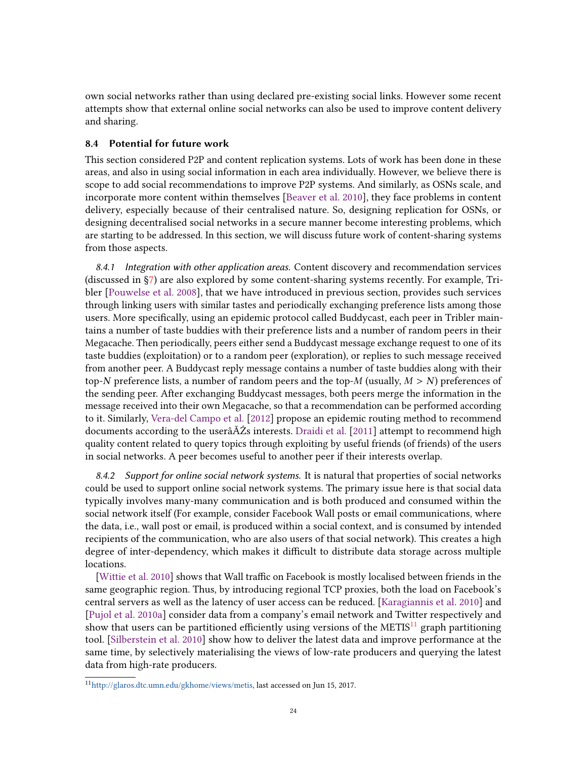own social networks rather than using declared pre-existing social links. However some recent attempts show that external online social networks can also be used to improve content delivery and sharing.

# 8.4 Potential for future work

This section considered P2P and content replication systems. Lots of work has been done in these areas, and also in using social information in each area individually. However, we believe there is scope to add social recommendations to improve P2P systems. And similarly, as OSNs scale, and incorporate more content within themselves [Beaver et al. 2010], they face problems in content delivery, especially because of their centralised nature. So, designing replication for OSNs, or designing decentralised social networks in a secure manner become interesting problems, which are starting to be addressed. In this section, we will discuss future work of content-sharing systems from those aspects.

8.4.1 Integration with other application areas. Content discovery and recommendation services (discussed in §7) are also explored by some content-sharing systems recently. For example, Tribler [Pouwelse et al. 2008], that we have introduced in previous section, provides such services through linking users with similar tastes and periodically exchanging preference lists among those users. More specifically, using an epidemic protocol called Buddycast, each peer in Tribler maintains a number of taste buddies with their preference lists and a number of random peers in their Megacache. Then periodically, peers either send a Buddycast message exchange request to one of its taste buddies (exploitation) or to a random peer (exploration), or replies to such message received from another peer. A Buddycast reply message contains a number of taste buddies along with their top-N preference lists, a number of random peers and the top-M (usually,  $M > N$ ) preferences of the sending peer. After exchanging Buddycast messages, both peers merge the information in the message received into their own Megacache, so that a recommendation can be performed according to it. Similarly, Vera-del Campo et al. [2012] propose an epidemic routing method to recommend documents according to the userâĂŹs interests. Draidi et al. [2011] attempt to recommend high quality content related to query topics through exploiting by useful friends (of friends) of the users in social networks. A peer becomes useful to another peer if their interests overlap.

8.4.2 Support for online social network systems. It is natural that properties of social networks could be used to support online social network systems. The primary issue here is that social data typically involves many-many communication and is both produced and consumed within the social network itself (For example, consider Facebook Wall posts or email communications, where the data, i.e., wall post or email, is produced within a social context, and is consumed by intended recipients of the communication, who are also users of that social network). This creates a high degree of inter-dependency, which makes it difficult to distribute data storage across multiple locations.

[Wittie et al. 2010] shows that Wall traffic on Facebook is mostly localised between friends in the same geographic region. Thus, by introducing regional TCP proxies, both the load on Facebook's central servers as well as the latency of user access can be reduced. [Karagiannis et al. 2010] and [Pujol et al. 2010a] consider data from a company's email network and Twitter respectively and show that users can be partitioned efficiently using versions of the METIS $^{11}$  graph partitioning tool. [Silberstein et al. 2010] show how to deliver the latest data and improve performance at the same time, by selectively materialising the views of low-rate producers and querying the latest data from high-rate producers.

 $^{11}{\rm http://glaros.dtc.umm.edu/gkhome/views/metis, last accessed on Jun 15, 2017.}$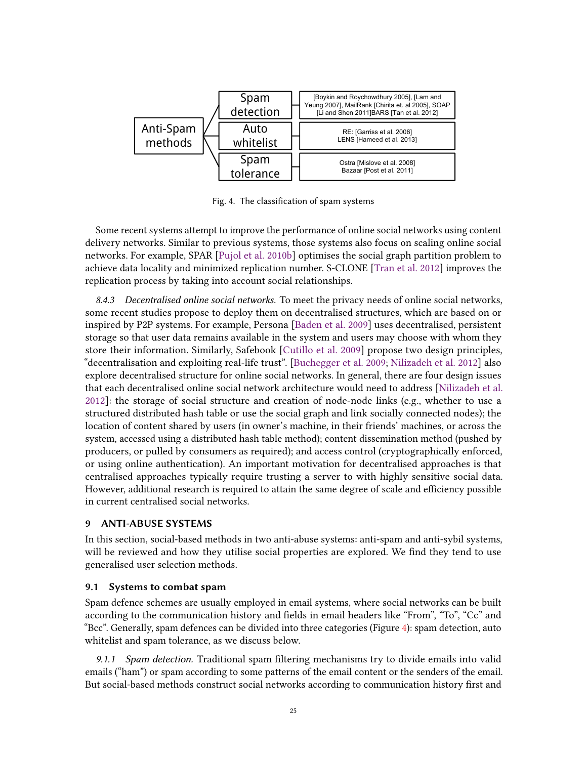

Fig. 4. The classification of spam systems

Some recent systems attempt to improve the performance of online social networks using content delivery networks. Similar to previous systems, those systems also focus on scaling online social networks. For example, SPAR [Pujol et al. 2010b] optimises the social graph partition problem to achieve data locality and minimized replication number. S-CLONE [Tran et al. 2012] improves the replication process by taking into account social relationships.

8.4.3 Decentralised online social networks. To meet the privacy needs of online social networks, some recent studies propose to deploy them on decentralised structures, which are based on or inspired by P2P systems. For example, Persona [Baden et al. 2009] uses decentralised, persistent storage so that user data remains available in the system and users may choose with whom they store their information. Similarly, Safebook [Cutillo et al. 2009] propose two design principles, "decentralisation and exploiting real-life trust". [Buchegger et al. 2009; Nilizadeh et al. 2012] also explore decentralised structure for online social networks. In general, there are four design issues that each decentralised online social network architecture would need to address [Nilizadeh et al. 2012]: the storage of social structure and creation of node-node links (e.g., whether to use a structured distributed hash table or use the social graph and link socially connected nodes); the location of content shared by users (in owner's machine, in their friends' machines, or across the system, accessed using a distributed hash table method); content dissemination method (pushed by producers, or pulled by consumers as required); and access control (cryptographically enforced, or using online authentication). An important motivation for decentralised approaches is that centralised approaches typically require trusting a server to with highly sensitive social data. However, additional research is required to attain the same degree of scale and efficiency possible in current centralised social networks.

# 9 ANTI-ABUSE SYSTEMS

In this section, social-based methods in two anti-abuse systems: anti-spam and anti-sybil systems, will be reviewed and how they utilise social properties are explored. We find they tend to use generalised user selection methods.

#### 9.1 Systems to combat spam

Spam defence schemes are usually employed in email systems, where social networks can be built according to the communication history and fields in email headers like "From", "To", "Cc" and "Bcc". Generally, spam defences can be divided into three categories (Figure 4): spam detection, auto whitelist and spam tolerance, as we discuss below.

9.1.1 Spam detection. Traditional spam filtering mechanisms try to divide emails into valid emails ("ham") or spam according to some patterns of the email content or the senders of the email. But social-based methods construct social networks according to communication history first and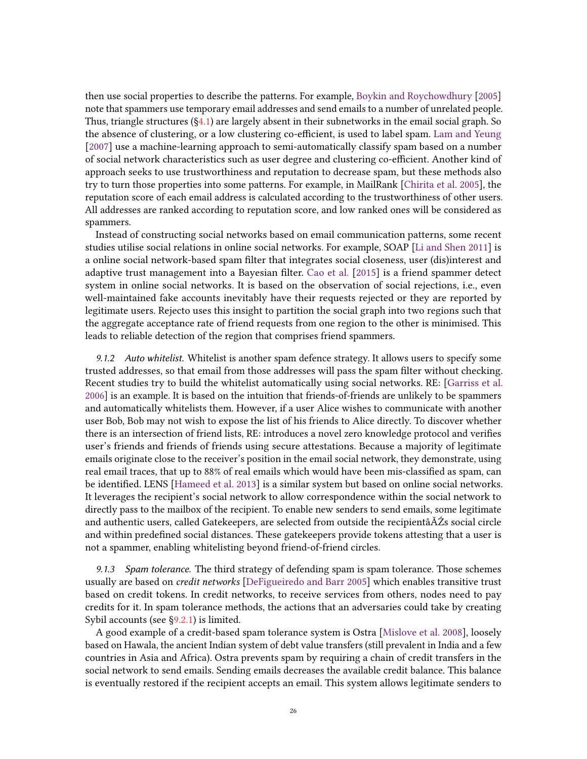then use social properties to describe the patterns. For example, Boykin and Roychowdhury [2005] note that spammers use temporary email addresses and send emails to a number of unrelated people. Thus, triangle structures (§4.1) are largely absent in their subnetworks in the email social graph. So the absence of clustering, or a low clustering co-efficient, is used to label spam. Lam and Yeung [2007] use a machine-learning approach to semi-automatically classify spam based on a number of social network characteristics such as user degree and clustering co-efficient. Another kind of approach seeks to use trustworthiness and reputation to decrease spam, but these methods also try to turn those properties into some patterns. For example, in MailRank [Chirita et al. 2005], the reputation score of each email address is calculated according to the trustworthiness of other users. All addresses are ranked according to reputation score, and low ranked ones will be considered as spammers.

Instead of constructing social networks based on email communication patterns, some recent studies utilise social relations in online social networks. For example, SOAP [Li and Shen 2011] is a online social network-based spam filter that integrates social closeness, user (dis)interest and adaptive trust management into a Bayesian filter. Cao et al. [2015] is a friend spammer detect system in online social networks. It is based on the observation of social rejections, i.e., even well-maintained fake accounts inevitably have their requests rejected or they are reported by legitimate users. Rejecto uses this insight to partition the social graph into two regions such that the aggregate acceptance rate of friend requests from one region to the other is minimised. This leads to reliable detection of the region that comprises friend spammers.

9.1.2 Auto whitelist. Whitelist is another spam defence strategy. It allows users to specify some trusted addresses, so that email from those addresses will pass the spam filter without checking. Recent studies try to build the whitelist automatically using social networks. RE: [Garriss et al. 2006] is an example. It is based on the intuition that friends-of-friends are unlikely to be spammers and automatically whitelists them. However, if a user Alice wishes to communicate with another user Bob, Bob may not wish to expose the list of his friends to Alice directly. To discover whether there is an intersection of friend lists, RE: introduces a novel zero knowledge protocol and verifies user's friends and friends of friends using secure attestations. Because a majority of legitimate emails originate close to the receiver's position in the email social network, they demonstrate, using real email traces, that up to 88% of real emails which would have been mis-classified as spam, can be identified. LENS [Hameed et al. 2013] is a similar system but based on online social networks. It leverages the recipient's social network to allow correspondence within the social network to directly pass to the mailbox of the recipient. To enable new senders to send emails, some legitimate and authentic users, called Gatekeepers, are selected from outside the recipientâĂŹs social circle and within predefined social distances. These gatekeepers provide tokens attesting that a user is not a spammer, enabling whitelisting beyond friend-of-friend circles.

9.1.3 Spam tolerance. The third strategy of defending spam is spam tolerance. Those schemes usually are based on credit networks [DeFigueiredo and Barr 2005] which enables transitive trust based on credit tokens. In credit networks, to receive services from others, nodes need to pay credits for it. In spam tolerance methods, the actions that an adversaries could take by creating Sybil accounts (see §9.2.1) is limited.

A good example of a credit-based spam tolerance system is Ostra [Mislove et al. 2008], loosely based on Hawala, the ancient Indian system of debt value transfers (still prevalent in India and a few countries in Asia and Africa). Ostra prevents spam by requiring a chain of credit transfers in the social network to send emails. Sending emails decreases the available credit balance. This balance is eventually restored if the recipient accepts an email. This system allows legitimate senders to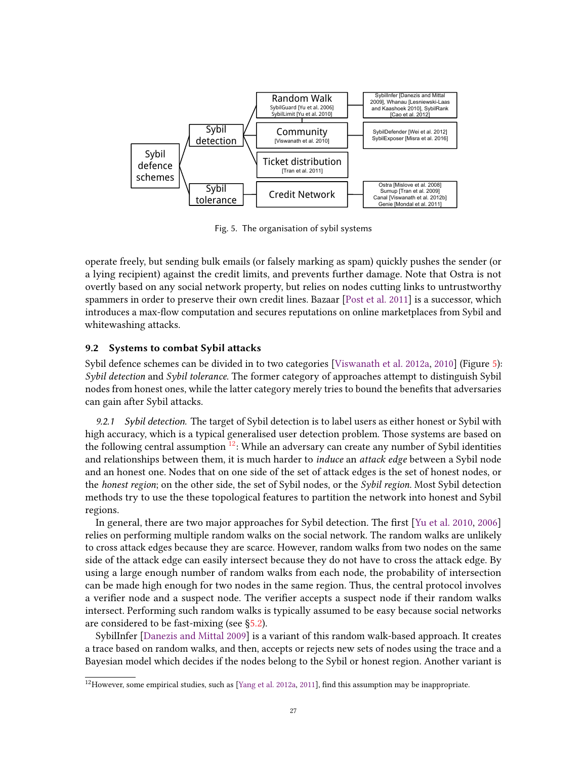

Fig. 5. The organisation of sybil systems

operate freely, but sending bulk emails (or falsely marking as spam) quickly pushes the sender (or a lying recipient) against the credit limits, and prevents further damage. Note that Ostra is not overtly based on any social network property, but relies on nodes cutting links to untrustworthy spammers in order to preserve their own credit lines. Bazaar [Post et al. 2011] is a successor, which introduces a max-flow computation and secures reputations on online marketplaces from Sybil and whitewashing attacks.

# 9.2 Systems to combat Sybil attacks

Sybil defence schemes can be divided in to two categories [Viswanath et al. 2012a, 2010] (Figure 5): Sybil detection and Sybil tolerance. The former category of approaches attempt to distinguish Sybil nodes from honest ones, while the latter category merely tries to bound the benefits that adversaries can gain after Sybil attacks.

9.2.1 Sybil detection. The target of Sybil detection is to label users as either honest or Sybil with high accuracy, which is a typical generalised user detection problem. Those systems are based on the following central assumption  $12$ : While an adversary can create any number of Sybil identities and relationships between them, it is much harder to induce an attack edge between a Sybil node and an honest one. Nodes that on one side of the set of attack edges is the set of honest nodes, or the honest region; on the other side, the set of Sybil nodes, or the Sybil region. Most Sybil detection methods try to use the these topological features to partition the network into honest and Sybil regions.

In general, there are two major approaches for Sybil detection. The first [Yu et al. 2010, 2006] relies on performing multiple random walks on the social network. The random walks are unlikely to cross attack edges because they are scarce. However, random walks from two nodes on the same side of the attack edge can easily intersect because they do not have to cross the attack edge. By using a large enough number of random walks from each node, the probability of intersection can be made high enough for two nodes in the same region. Thus, the central protocol involves a verifier node and a suspect node. The verifier accepts a suspect node if their random walks intersect. Performing such random walks is typically assumed to be easy because social networks are considered to be fast-mixing (see §5.2).

SybilInfer [Danezis and Mittal 2009] is a variant of this random walk-based approach. It creates a trace based on random walks, and then, accepts or rejects new sets of nodes using the trace and a Bayesian model which decides if the nodes belong to the Sybil or honest region. Another variant is

<sup>&</sup>lt;sup>12</sup>However, some empirical studies, such as [Yang et al. 2012a, 2011], find this assumption may be inappropriate.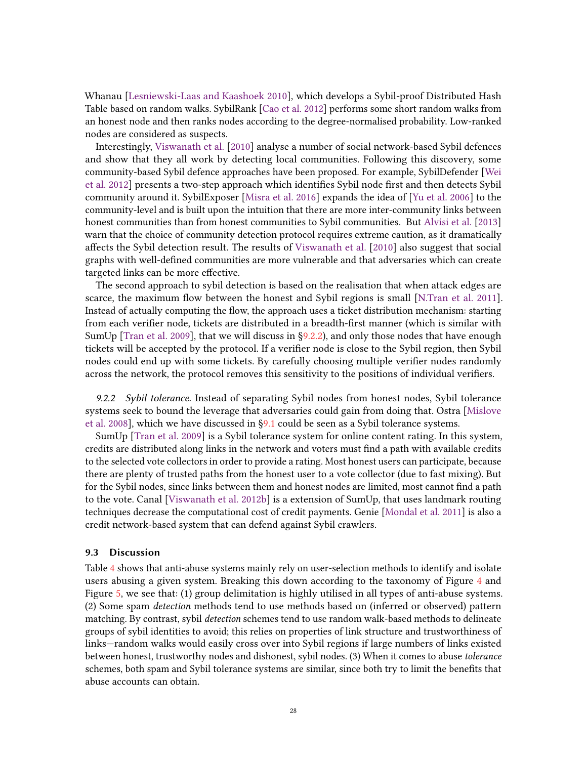Whanau [Lesniewski-Laas and Kaashoek 2010], which develops a Sybil-proof Distributed Hash Table based on random walks. SybilRank [Cao et al. 2012] performs some short random walks from an honest node and then ranks nodes according to the degree-normalised probability. Low-ranked nodes are considered as suspects.

Interestingly, Viswanath et al. [2010] analyse a number of social network-based Sybil defences and show that they all work by detecting local communities. Following this discovery, some community-based Sybil defence approaches have been proposed. For example, SybilDefender [Wei et al. 2012] presents a two-step approach which identifies Sybil node first and then detects Sybil community around it. SybilExposer [Misra et al. 2016] expands the idea of [Yu et al. 2006] to the community-level and is built upon the intuition that there are more inter-community links between honest communities than from honest communities to Sybil communities. But Alvisi et al. [2013] warn that the choice of community detection protocol requires extreme caution, as it dramatically affects the Sybil detection result. The results of Viswanath et al. [2010] also suggest that social graphs with well-defined communities are more vulnerable and that adversaries which can create targeted links can be more effective.

The second approach to sybil detection is based on the realisation that when attack edges are scarce, the maximum flow between the honest and Sybil regions is small [N.Tran et al. 2011]. Instead of actually computing the flow, the approach uses a ticket distribution mechanism: starting from each verifier node, tickets are distributed in a breadth-first manner (which is similar with SumUp [Tran et al. 2009], that we will discuss in §9.2.2), and only those nodes that have enough tickets will be accepted by the protocol. If a verifier node is close to the Sybil region, then Sybil nodes could end up with some tickets. By carefully choosing multiple verifier nodes randomly across the network, the protocol removes this sensitivity to the positions of individual verifiers.

9.2.2 Sybil tolerance. Instead of separating Sybil nodes from honest nodes, Sybil tolerance systems seek to bound the leverage that adversaries could gain from doing that. Ostra [Mislove et al. 2008], which we have discussed in §9.1 could be seen as a Sybil tolerance systems.

SumUp [Tran et al. 2009] is a Sybil tolerance system for online content rating. In this system, credits are distributed along links in the network and voters must find a path with available credits to the selected vote collectors in order to provide a rating. Most honest users can participate, because there are plenty of trusted paths from the honest user to a vote collector (due to fast mixing). But for the Sybil nodes, since links between them and honest nodes are limited, most cannot find a path to the vote. Canal [Viswanath et al. 2012b] is a extension of SumUp, that uses landmark routing techniques decrease the computational cost of credit payments. Genie [Mondal et al. 2011] is also a credit network-based system that can defend against Sybil crawlers.

### 9.3 Discussion

Table 4 shows that anti-abuse systems mainly rely on user-selection methods to identify and isolate users abusing a given system. Breaking this down according to the taxonomy of Figure 4 and Figure 5, we see that: (1) group delimitation is highly utilised in all types of anti-abuse systems. (2) Some spam detection methods tend to use methods based on (inferred or observed) pattern matching. By contrast, sybil detection schemes tend to use random walk-based methods to delineate groups of sybil identities to avoid; this relies on properties of link structure and trustworthiness of links—random walks would easily cross over into Sybil regions if large numbers of links existed between honest, trustworthy nodes and dishonest, sybil nodes. (3) When it comes to abuse tolerance schemes, both spam and Sybil tolerance systems are similar, since both try to limit the benefits that abuse accounts can obtain.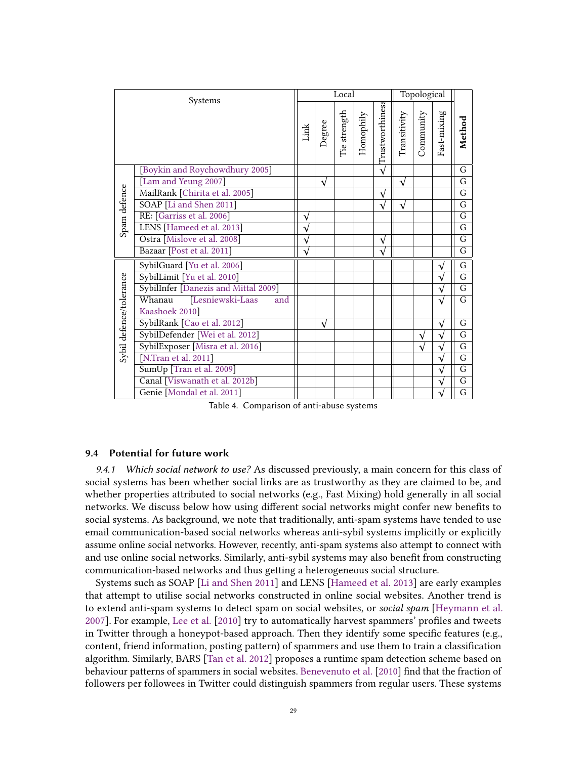| Systems                 |                                      |      |            | Local        |           | Topological           |              |              |              |                |
|-------------------------|--------------------------------------|------|------------|--------------|-----------|-----------------------|--------------|--------------|--------------|----------------|
|                         |                                      | Link | Degree     | Tie strength | Homophily | Trustworthiness       | Transitivity | Community    | Fast-mixing  | Method         |
|                         | [Boykin and Roychowdhury 2005]       |      |            |              |           | $\overline{\sqrt{} }$ |              |              |              | G              |
|                         | [Lam and Yeung 2007]                 |      | $\sqrt{}$  |              |           |                       | $\sqrt{ }$   |              |              | $\overline{G}$ |
| Spam defence            | MailRank [Chirita et al. 2005]       |      |            |              |           | V                     |              |              |              | $\overline{G}$ |
|                         | SOAP [Li and Shen 2011]              |      |            |              |           | $\overline{\sqrt{2}}$ | $\sqrt{}$    |              |              | $\overline{G}$ |
|                         | RE: [Garriss et al. 2006]            | V    |            |              |           |                       |              |              |              | $\overline{G}$ |
|                         | LENS [Hameed et al. 2013]            | ٧    |            |              |           |                       |              |              |              | $\overline{G}$ |
|                         | Ostra [Mislove et al. 2008]          |      |            |              |           | $\sqrt{}$             |              |              |              | $\overline{G}$ |
|                         | Bazaar [Post et al. 2011]            |      |            |              |           |                       |              |              |              | $\overline{G}$ |
|                         | SybilGuard [Yu et al. 2006]          |      |            |              |           |                       |              |              | V            | G              |
|                         | SybilLimit [Yu et al. 2010]          |      |            |              |           |                       |              |              | $\sqrt{}$    | $\overline{G}$ |
|                         | SybilInfer [Danezis and Mittal 2009] |      |            |              |           |                       |              |              | ν            | $\overline{G}$ |
|                         | [Lesniewski-Laas]<br>Whanau<br>and   |      |            |              |           |                       |              |              | $\sqrt{2}$   | $\overline{G}$ |
| Sybil defence/tolerance | Kaashoek 2010]                       |      |            |              |           |                       |              |              |              |                |
|                         | SybilRank [Cao et al. 2012]          |      | $\sqrt{ }$ |              |           |                       |              |              | $\sqrt{}$    | G              |
|                         | SybilDefender [Wei et al. 2012]      |      |            |              |           |                       |              | $\checkmark$ | Ń            | $\overline{G}$ |
|                         | SybilExposer [Misra et al. 2016]     |      |            |              |           |                       |              | $\sqrt{}$    | $\sqrt{}$    | $\overline{G}$ |
|                         | [N.Tran et al. 2011]                 |      |            |              |           |                       |              |              | V            | $\overline{G}$ |
|                         | SumUp [Tran et al. 2009]             |      |            |              |           |                       |              |              | $\checkmark$ | $\overline{G}$ |
|                         | Canal [Viswanath et al. 2012b]       |      |            |              |           |                       |              |              | $\sqrt{}$    | $\overline{G}$ |
|                         | Genie [Mondal et al. 2011]           |      |            |              |           |                       |              |              | $\sqrt{ }$   | $\overline{G}$ |

Table 4. Comparison of anti-abuse systems

# 9.4 Potential for future work

9.4.1 Which social network to use? As discussed previously, a main concern for this class of social systems has been whether social links are as trustworthy as they are claimed to be, and whether properties attributed to social networks (e.g., Fast Mixing) hold generally in all social networks. We discuss below how using different social networks might confer new benefits to social systems. As background, we note that traditionally, anti-spam systems have tended to use email communication-based social networks whereas anti-sybil systems implicitly or explicitly assume online social networks. However, recently, anti-spam systems also attempt to connect with and use online social networks. Similarly, anti-sybil systems may also benefit from constructing communication-based networks and thus getting a heterogeneous social structure.

Systems such as SOAP [Li and Shen 2011] and LENS [Hameed et al. 2013] are early examples that attempt to utilise social networks constructed in online social websites. Another trend is to extend anti-spam systems to detect spam on social websites, or social spam [Heymann et al. 2007]. For example, Lee et al. [2010] try to automatically harvest spammers' profiles and tweets in Twitter through a honeypot-based approach. Then they identify some specific features (e.g., content, friend information, posting pattern) of spammers and use them to train a classification algorithm. Similarly, BARS [Tan et al. 2012] proposes a runtime spam detection scheme based on behaviour patterns of spammers in social websites. Benevenuto et al. [2010] find that the fraction of followers per followees in Twitter could distinguish spammers from regular users. These systems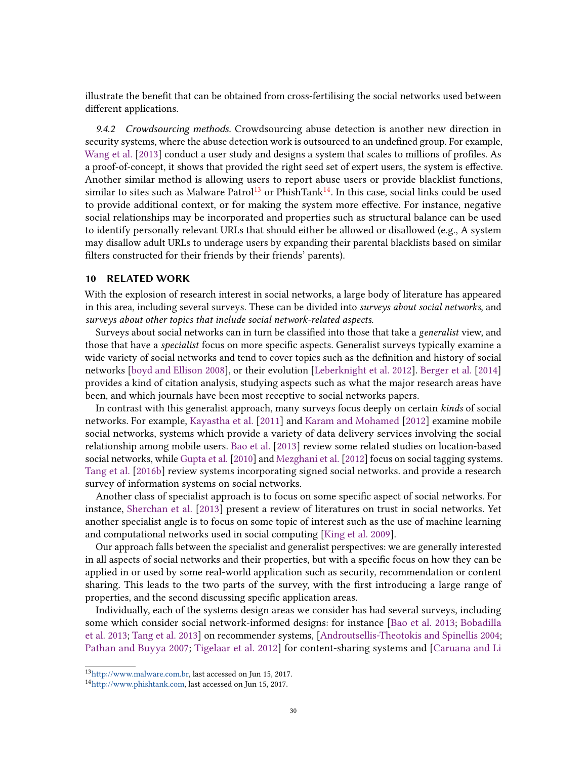illustrate the benefit that can be obtained from cross-fertilising the social networks used between different applications.

9.4.2 Crowdsourcing methods. Crowdsourcing abuse detection is another new direction in security systems, where the abuse detection work is outsourced to an undefined group. For example, Wang et al. [2013] conduct a user study and designs a system that scales to millions of profiles. As a proof-of-concept, it shows that provided the right seed set of expert users, the system is effective. Another similar method is allowing users to report abuse users or provide blacklist functions, similar to sites such as Malware Patrol<sup>13</sup> or PhishTank<sup>14</sup>. In this case, social links could be used to provide additional context, or for making the system more effective. For instance, negative social relationships may be incorporated and properties such as structural balance can be used to identify personally relevant URLs that should either be allowed or disallowed (e.g., A system may disallow adult URLs to underage users by expanding their parental blacklists based on similar filters constructed for their friends by their friends' parents).

# 10 RELATED WORK

With the explosion of research interest in social networks, a large body of literature has appeared in this area, including several surveys. These can be divided into surveys about social networks, and surveys about other topics that include social network-related aspects.

Surveys about social networks can in turn be classified into those that take a generalist view, and those that have a specialist focus on more specific aspects. Generalist surveys typically examine a wide variety of social networks and tend to cover topics such as the definition and history of social networks [boyd and Ellison 2008], or their evolution [Leberknight et al. 2012]. Berger et al. [2014] provides a kind of citation analysis, studying aspects such as what the major research areas have been, and which journals have been most receptive to social networks papers.

In contrast with this generalist approach, many surveys focus deeply on certain kinds of social networks. For example, Kayastha et al. [2011] and Karam and Mohamed [2012] examine mobile social networks, systems which provide a variety of data delivery services involving the social relationship among mobile users. Bao et al. [2013] review some related studies on location-based social networks, while Gupta et al. [2010] and Mezghani et al. [2012] focus on social tagging systems. Tang et al. [2016b] review systems incorporating signed social networks. and provide a research survey of information systems on social networks.

Another class of specialist approach is to focus on some specific aspect of social networks. For instance, Sherchan et al. [2013] present a review of literatures on trust in social networks. Yet another specialist angle is to focus on some topic of interest such as the use of machine learning and computational networks used in social computing [King et al. 2009].

Our approach falls between the specialist and generalist perspectives: we are generally interested in all aspects of social networks and their properties, but with a specific focus on how they can be applied in or used by some real-world application such as security, recommendation or content sharing. This leads to the two parts of the survey, with the first introducing a large range of properties, and the second discussing specific application areas.

Individually, each of the systems design areas we consider has had several surveys, including some which consider social network-informed designs: for instance [Bao et al. 2013; Bobadilla et al. 2013; Tang et al. 2013] on recommender systems, [Androutsellis-Theotokis and Spinellis 2004; Pathan and Buyya 2007; Tigelaar et al. 2012] for content-sharing systems and [Caruana and Li

<sup>13</sup>http://www.malware.com.br, last accessed on Jun 15, 2017.

<sup>14</sup>http://www.phishtank.com, last accessed on Jun 15, 2017.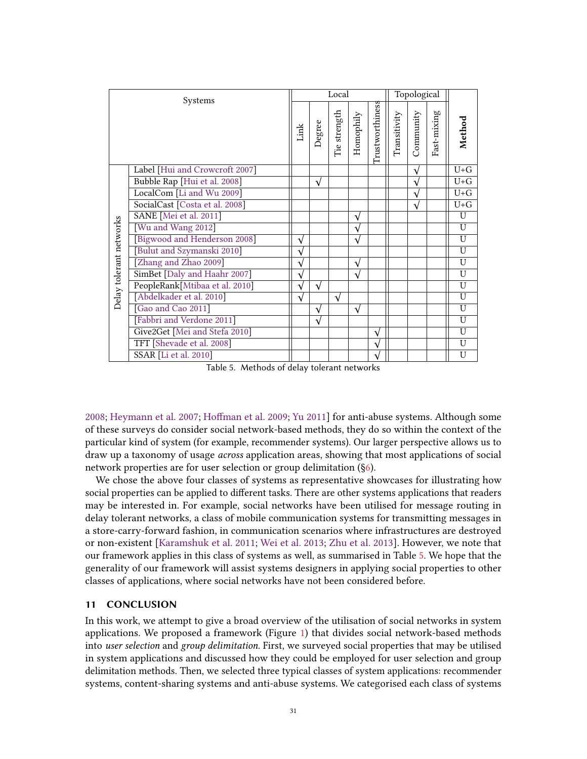|                         |                                |      |           | Local        |              | Topological     |              |             |             |                         |
|-------------------------|--------------------------------|------|-----------|--------------|--------------|-----------------|--------------|-------------|-------------|-------------------------|
| Systems                 |                                | Link | Degree    | Tie strength | Homophily    | Trustworthiness | Transitivity | Community   | Fast-mixing | Method                  |
|                         | Label [Hui and Crowcroft 2007] |      |           |              |              |                 |              | $\sqrt{}$   |             | $U+G$                   |
|                         | Bubble Rap [Hui et al. 2008]   |      | $\sqrt{}$ |              |              |                 |              | $\mathbf v$ |             | $\overline{U+G}$        |
|                         | LocalCom [Li and Wu 2009]      |      |           |              |              |                 |              | V           |             | $\overline{U+G}$        |
|                         | SocialCast [Costa et al. 2008] |      |           |              |              |                 |              | $\mathbf v$ |             | $\overline{U+G}$        |
|                         | SANE [Mei et al. 2011]         |      |           |              | $\checkmark$ |                 |              |             |             | $\overline{U}$          |
| Delay tolerant networks | [Wu and Wang 2012]             |      |           |              | V            |                 |              |             |             | U                       |
|                         | [Bigwood and Henderson 2008]   | V    |           |              | ν            |                 |              |             |             | U                       |
|                         | [Bulut and Szymanski 2010]     | ν    |           |              |              |                 |              |             |             | U                       |
|                         | [Zhang and Zhao 2009]          | ν    |           |              | V            |                 |              |             |             | $\overline{\mathrm{U}}$ |
|                         | SimBet [Daly and Haahr 2007]   |      |           |              | V            |                 |              |             |             | $\overline{U}$          |
|                         | PeopleRank[Mtibaa et al. 2010] | V    | $\sqrt{}$ |              |              |                 |              |             |             | U                       |
|                         | [Abdelkader et al. 2010]       |      |           | $\sqrt{}$    |              |                 |              |             |             | U                       |
|                         | Gao and Cao 2011]              |      | $\sqrt{}$ |              | $\sqrt{ }$   |                 |              |             |             | U                       |
|                         | [Fabbri and Verdone 2011]      |      | V         |              |              |                 |              |             |             | U                       |
|                         | Give2Get [Mei and Stefa 2010]  |      |           |              |              | ν               |              |             |             | U                       |
|                         | TFT [Shevade et al. 2008]      |      |           |              |              | V               |              |             |             | $\overline{U}$          |
|                         | <b>SSAR</b> [Li et al. 2010]   |      |           |              |              |                 |              |             |             | $\overline{U}$          |

Table 5. Methods of delay tolerant networks

2008; Heymann et al. 2007; Hoffman et al. 2009; Yu 2011] for anti-abuse systems. Although some of these surveys do consider social network-based methods, they do so within the context of the particular kind of system (for example, recommender systems). Our larger perspective allows us to draw up a taxonomy of usage across application areas, showing that most applications of social network properties are for user selection or group delimitation (§6).

We chose the above four classes of systems as representative showcases for illustrating how social properties can be applied to different tasks. There are other systems applications that readers may be interested in. For example, social networks have been utilised for message routing in delay tolerant networks, a class of mobile communication systems for transmitting messages in a store-carry-forward fashion, in communication scenarios where infrastructures are destroyed or non-existent [Karamshuk et al. 2011; Wei et al. 2013; Zhu et al. 2013]. However, we note that our framework applies in this class of systems as well, as summarised in Table 5. We hope that the generality of our framework will assist systems designers in applying social properties to other classes of applications, where social networks have not been considered before.

### 11 CONCLUSION

In this work, we attempt to give a broad overview of the utilisation of social networks in system applications. We proposed a framework (Figure 1) that divides social network-based methods into user selection and group delimitation. First, we surveyed social properties that may be utilised in system applications and discussed how they could be employed for user selection and group delimitation methods. Then, we selected three typical classes of system applications: recommender systems, content-sharing systems and anti-abuse systems. We categorised each class of systems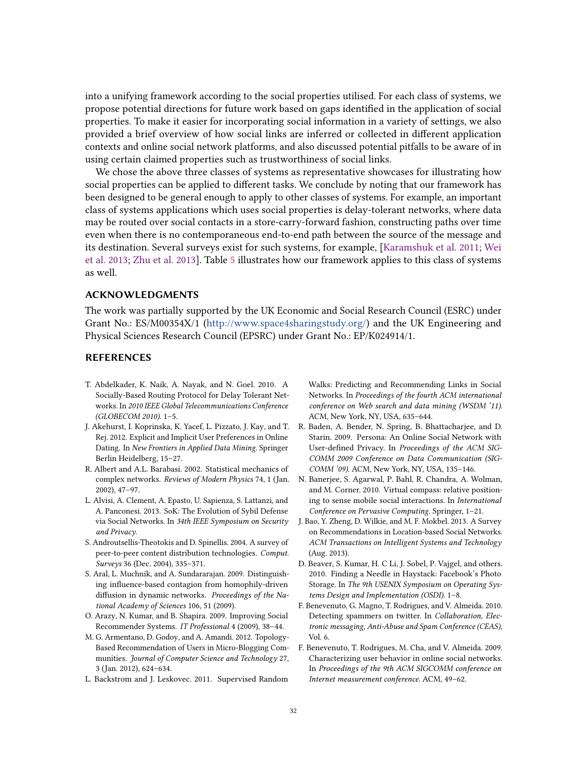into a unifying framework according to the social properties utilised. For each class of systems, we propose potential directions for future work based on gaps identified in the application of social properties. To make it easier for incorporating social information in a variety of settings, we also provided a brief overview of how social links are inferred or collected in different application contexts and online social network platforms, and also discussed potential pitfalls to be aware of in using certain claimed properties such as trustworthiness of social links.

We chose the above three classes of systems as representative showcases for illustrating how social properties can be applied to different tasks. We conclude by noting that our framework has been designed to be general enough to apply to other classes of systems. For example, an important class of systems applications which uses social properties is delay-tolerant networks, where data may be routed over social contacts in a store-carry-forward fashion, constructing paths over time even when there is no contemporaneous end-to-end path between the source of the message and its destination. Several surveys exist for such systems, for example, [Karamshuk et al. 2011; Wei et al. 2013; Zhu et al. 2013]. Table 5 illustrates how our framework applies to this class of systems as well.

# ACKNOWLEDGMENTS

The work was partially supported by the UK Economic and Social Research Council (ESRC) under Grant No.: ES/M00354X/1 (http://www.space4sharingstudy.org/) and the UK Engineering and Physical Sciences Research Council (EPSRC) under Grant No.: EP/K024914/1.

# REFERENCES

- T. Abdelkader, K. Naik, A. Nayak, and N. Goel. 2010. A Socially-Based Routing Protocol for Delay Tolerant Networks. In 2010 IEEE Global Telecommunications Conference (GLOBECOM 2010). 1–5.
- J. Akehurst, I. Koprinska, K. Yacef, L. Pizzato, J. Kay, and T. Rej. 2012. Explicit and Implicit User Preferences in Online Dating. In New Frontiers in Applied Data Mining. Springer Berlin Heidelberg, 15–27.
- R. Albert and A.L. Barabasi. 2002. Statistical mechanics of complex networks. Reviews of Modern Physics 74, 1 (Jan. 2002), 47–97.
- L. Alvisi, A. Clement, A. Epasto, U. Sapienza, S. Lattanzi, and A. Panconesi. 2013. SoK: The Evolution of Sybil Defense via Social Networks. In 34th IEEE Symposium on Security and Privacy.
- S. Androutsellis-Theotokis and D. Spinellis. 2004. A survey of peer-to-peer content distribution technologies. Comput. Surveys 36 (Dec. 2004), 335–371.
- S. Aral, L. Muchnik, and A. Sundararajan. 2009. Distinguishing influence-based contagion from homophily-driven diffusion in dynamic networks. Proceedings of the National Academy of Sciences 106, 51 (2009).
- O. Arazy, N. Kumar, and B. Shapira. 2009. Improving Social Recommender Systems. IT Professional 4 (2009), 38–44.
- M. G. Armentano, D. Godoy, and A. Amandi. 2012. Topology-Based Recommendation of Users in Micro-Blogging Communities. Journal of Computer Science and Technology 27, 3 (Jan. 2012), 624–634.
- L. Backstrom and J. Leskovec. 2011. Supervised Random

Walks: Predicting and Recommending Links in Social Networks. In Proceedings of the fourth ACM international conference on Web search and data mining (WSDM '11). ACM, New York, NY, USA, 635–644.

- R. Baden, A. Bender, N. Spring, B. Bhattacharjee, and D. Starin. 2009. Persona: An Online Social Network with User-defined Privacy. In Proceedings of the ACM SIG-COMM 2009 Conference on Data Communication (SIG-COMM '09). ACM, New York, NY, USA, 135–146.
- N. Banerjee, S. Agarwal, P. Bahl, R. Chandra, A. Wolman, and M. Corner. 2010. Virtual compass: relative positioning to sense mobile social interactions. In International Conference on Pervasive Computing. Springer, 1–21.
- J. Bao, Y. Zheng, D. Wilkie, and M. F. Mokbel. 2013. A Survey on Recommendations in Location-based Social Networks. ACM Transactions on Intelligent Systems and Technology (Aug. 2013).
- D. Beaver, S. Kumar, H. C Li, J. Sobel, P. Vajgel, and others. 2010. Finding a Needle in Haystack: Facebook's Photo Storage. In The 9th USENIX Symposium on Operating Systems Design and Implementation (OSDI). 1–8.
- F. Benevenuto, G. Magno, T. Rodrigues, and V. Almeida. 2010. Detecting spammers on twitter. In Collaboration, Electronic messaging, Anti-Abuse and Spam Conference (CEAS), Vol. 6.
- F. Benevenuto, T. Rodrigues, M. Cha, and V. Almeida. 2009. Characterizing user behavior in online social networks. In Proceedings of the 9th ACM SIGCOMM conference on Internet measurement conference. ACM, 49–62.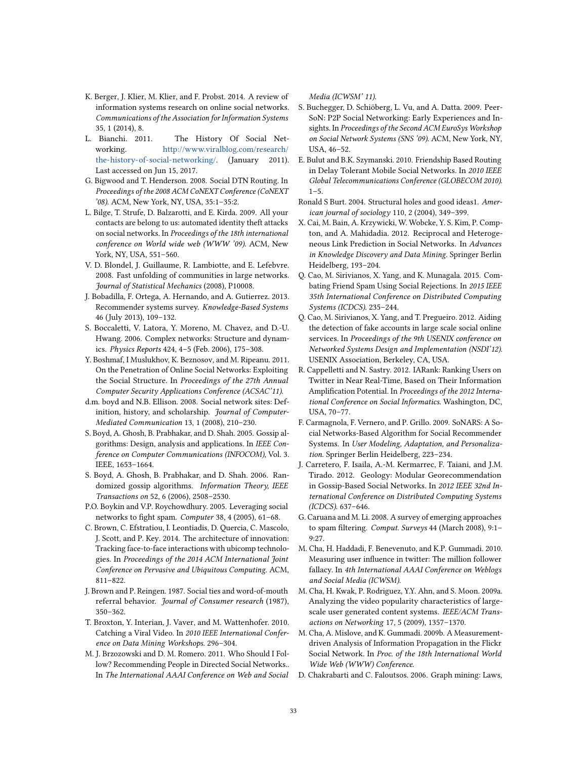- K. Berger, J. Klier, M. Klier, and F. Probst. 2014. A review of information systems research on online social networks. Communications of the Association for Information Systems 35, 1 (2014), 8.
- L. Bianchi. 2011. The History Of Social Networking. http://www.viralblog.com/research/ the-history-of-social-networking/. (January 2011). Last accessed on Jun 15, 2017.
- G. Bigwood and T. Henderson. 2008. Social DTN Routing. In Proceedings of the 2008 ACM CoNEXT Conference (CoNEXT '08). ACM, New York, NY, USA, 35:1–35:2.
- L. Bilge, T. Strufe, D. Balzarotti, and E. Kirda. 2009. All your contacts are belong to us: automated identity theft attacks on social networks. In Proceedings of the 18th international conference on World wide web (WWW '09). ACM, New York, NY, USA, 551–560.
- V. D. Blondel, J. Guillaume, R. Lambiotte, and E. Lefebvre. 2008. Fast unfolding of communities in large networks. Journal of Statistical Mechanics (2008), P10008.
- J. Bobadilla, F. Ortega, A. Hernando, and A. Gutierrez. 2013. Recommender systems survey. Knowledge-Based Systems 46 (July 2013), 109–132.
- S. Boccaletti, V. Latora, Y. Moreno, M. Chavez, and D.-U. Hwang. 2006. Complex networks: Structure and dynamics. Physics Reports 424, 4–5 (Feb. 2006), 175–308.
- Y. Boshmaf, I Muslukhov, K. Beznosov, and M. Ripeanu. 2011. On the Penetration of Online Social Networks: Exploiting the Social Structure. In Proceedings of the 27th Annual Computer Security Applications Conference (ACSAC'11).
- d.m. boyd and N.B. Ellison. 2008. Social network sites: Definition, history, and scholarship. Journal of Computer-Mediated Communication 13, 1 (2008), 210–230.
- S. Boyd, A. Ghosh, B. Prabhakar, and D. Shah. 2005. Gossip algorithms: Design, analysis and applications. In IEEE Conference on Computer Communications (INFOCOM), Vol. 3. IEEE, 1653–1664.
- S. Boyd, A. Ghosh, B. Prabhakar, and D. Shah. 2006. Randomized gossip algorithms. Information Theory, IEEE Transactions on 52, 6 (2006), 2508–2530.
- P.O. Boykin and V.P. Roychowdhury. 2005. Leveraging social networks to fight spam. Computer 38, 4 (2005), 61–68.
- C. Brown, C. Efstratiou, I. Leontiadis, D. Quercia, C. Mascolo, J. Scott, and P. Key. 2014. The architecture of innovation: Tracking face-to-face interactions with ubicomp technologies. In Proceedings of the 2014 ACM International Joint Conference on Pervasive and Ubiquitous Computing. ACM, 811–822.
- J. Brown and P. Reingen. 1987. Social ties and word-of-mouth referral behavior. Journal of Consumer research (1987), 350–362.
- T. Broxton, Y. Interian, J. Vaver, and M. Wattenhofer. 2010. Catching a Viral Video. In 2010 IEEE International Conference on Data Mining Workshops. 296–304.
- M. J. Brzozowski and D. M. Romero. 2011. Who Should I Follow? Recommending People in Directed Social Networks.. In The International AAAI Conference on Web and Social

Media (ICWSM' 11).

- S. Buchegger, D. Schiöberg, L. Vu, and A. Datta. 2009. Peer-SoN: P2P Social Networking: Early Experiences and Insights. In Proceedings of the Second ACM EuroSys Workshop on Social Network Systems (SNS '09). ACM, New York, NY, USA, 46–52.
- E. Bulut and B.K. Szymanski. 2010. Friendship Based Routing in Delay Tolerant Mobile Social Networks. In 2010 IEEE Global Telecommunications Conference (GLOBECOM 2010).  $1 - 5.$
- Ronald S Burt. 2004. Structural holes and good ideas1. American journal of sociology 110, 2 (2004), 349–399.
- X. Cai, M. Bain, A. Krzywicki, W. Wobcke, Y. S. Kim, P. Compton, and A. Mahidadia. 2012. Reciprocal and Heterogeneous Link Prediction in Social Networks. In Advances in Knowledge Discovery and Data Mining. Springer Berlin Heidelberg, 193–204.
- Q. Cao, M. Sirivianos, X. Yang, and K. Munagala. 2015. Combating Friend Spam Using Social Rejections. In 2015 IEEE 35th International Conference on Distributed Computing Systems (ICDCS). 235–244.
- Q. Cao, M. Sirivianos, X. Yang, and T. Pregueiro. 2012. Aiding the detection of fake accounts in large scale social online services. In Proceedings of the 9th USENIX conference on Networked Systems Design and Implementation (NSDI'12). USENIX Association, Berkeley, CA, USA.
- R. Cappelletti and N. Sastry. 2012. IARank: Ranking Users on Twitter in Near Real-Time, Based on Their Information Amplification Potential. In Proceedings of the 2012 International Conference on Social Informatics. Washington, DC, USA, 70–77.
- F. Carmagnola, F. Vernero, and P. Grillo. 2009. SoNARS: A Social Networks-Based Algorithm for Social Recommender Systems. In User Modeling, Adaptation, and Personalization. Springer Berlin Heidelberg, 223–234.
- J. Carretero, F. Isaila, A.-M. Kermarrec, F. Taiani, and J.M. Tirado. 2012. Geology: Modular Georecommendation in Gossip-Based Social Networks. In 2012 IEEE 32nd International Conference on Distributed Computing Systems (ICDCS). 637–646.
- G. Caruana and M. Li. 2008. A survey of emerging approaches to spam filtering. Comput. Surveys 44 (March 2008), 9:1– 9:27.
- M. Cha, H. Haddadi, F. Benevenuto, and K.P. Gummadi. 2010. Measuring user influence in twitter: The million follower fallacy. In 4th International AAAI Conference on Weblogs and Social Media (ICWSM).
- M. Cha, H. Kwak, P. Rodriguez, Y.Y. Ahn, and S. Moon. 2009a. Analyzing the video popularity characteristics of largescale user generated content systems. IEEE/ACM Transactions on Networking 17, 5 (2009), 1357–1370.
- M. Cha, A. Mislove, and K. Gummadi. 2009b. A Measurementdriven Analysis of Information Propagation in the Flickr Social Network. In Proc. of the 18th International World Wide Web (WWW) Conference.
- D. Chakrabarti and C. Faloutsos. 2006. Graph mining: Laws,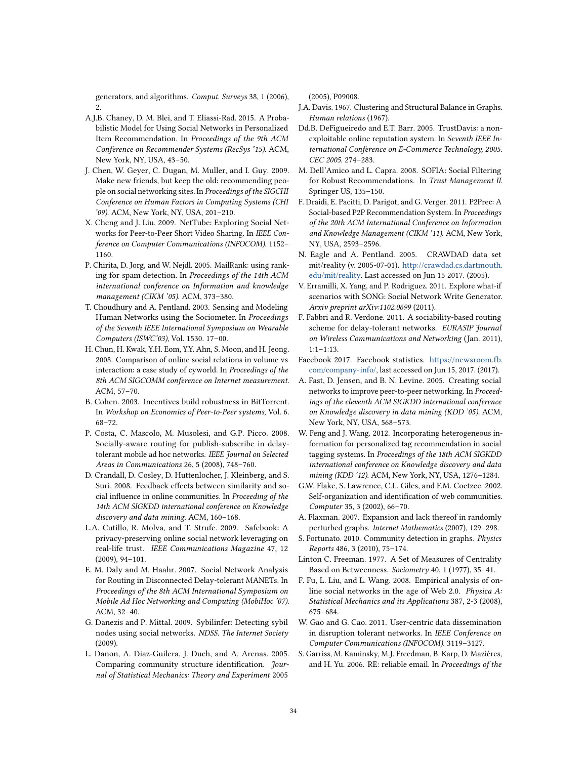generators, and algorithms. Comput. Surveys 38, 1 (2006), 2.

- A.J.B. Chaney, D. M. Blei, and T. Eliassi-Rad. 2015. A Probabilistic Model for Using Social Networks in Personalized Item Recommendation. In Proceedings of the 9th ACM Conference on Recommender Systems (RecSys '15). ACM, New York, NY, USA, 43–50.
- J. Chen, W. Geyer, C. Dugan, M. Muller, and I. Guy. 2009. Make new friends, but keep the old: recommending people on social networking sites. In Proceedings of the SIGCHI Conference on Human Factors in Computing Systems (CHI '09). ACM, New York, NY, USA, 201–210.
- X. Cheng and J. Liu. 2009. NetTube: Exploring Social Networks for Peer-to-Peer Short Video Sharing. In IEEE Conference on Computer Communications (INFOCOM). 1152– 1160.
- P. Chirita, D. Jorg, and W. Nejdl. 2005. MailRank: using ranking for spam detection. In Proceedings of the 14th ACM international conference on Information and knowledge management (CIKM '05). ACM, 373–380.
- T. Choudhury and A. Pentland. 2003. Sensing and Modeling Human Networks using the Sociometer. In Proceedings of the Seventh IEEE International Symposium on Wearable Computers (ISWC'03), Vol. 1530. 17–00.
- H. Chun, H. Kwak, Y.H. Eom, Y.Y. Ahn, S. Moon, and H. Jeong. 2008. Comparison of online social relations in volume vs interaction: a case study of cyworld. In Proceedings of the 8th ACM SIGCOMM conference on Internet measurement. ACM, 57–70.
- B. Cohen. 2003. Incentives build robustness in BitTorrent. In Workshop on Economics of Peer-to-Peer systems, Vol. 6. 68–72.
- P. Costa, C. Mascolo, M. Musolesi, and G.P. Picco. 2008. Socially-aware routing for publish-subscribe in delaytolerant mobile ad hoc networks. IEEE Journal on Selected Areas in Communications 26, 5 (2008), 748–760.
- D. Crandall, D. Cosley, D. Huttenlocher, J. Kleinberg, and S. Suri. 2008. Feedback effects between similarity and social influence in online communities. In Proceeding of the 14th ACM SIGKDD international conference on Knowledge discovery and data mining. ACM, 160–168.
- L.A. Cutillo, R. Molva, and T. Strufe. 2009. Safebook: A privacy-preserving online social network leveraging on real-life trust. IEEE Communications Magazine 47, 12 (2009), 94–101.
- E. M. Daly and M. Haahr. 2007. Social Network Analysis for Routing in Disconnected Delay-tolerant MANETs. In Proceedings of the 8th ACM International Symposium on Mobile Ad Hoc Networking and Computing (MobiHoc '07). ACM, 32–40.
- G. Danezis and P. Mittal. 2009. Sybilinfer: Detecting sybil nodes using social networks. NDSS. The Internet Society (2009).
- L. Danon, A. Diaz-Guilera, J. Duch, and A. Arenas. 2005. Comparing community structure identification. Journal of Statistical Mechanics: Theory and Experiment 2005

(2005), P09008.

- J.A. Davis. 1967. Clustering and Structural Balance in Graphs. Human relations (1967).
- Dd.B. DeFigueiredo and E.T. Barr. 2005. TrustDavis: a nonexploitable online reputation system. In Seventh IEEE International Conference on E-Commerce Technology, 2005. CEC 2005. 274–283.
- M. Dell'Amico and L. Capra. 2008. SOFIA: Social Filtering for Robust Recommendations. In Trust Management II. Springer US, 135–150.
- F. Draidi, E. Pacitti, D. Parigot, and G. Verger. 2011. P2Prec: A Social-based P2P Recommendation System. In Proceedings of the 20th ACM International Conference on Information and Knowledge Management (CIKM '11). ACM, New York, NY, USA, 2593–2596.
- N. Eagle and A. Pentland. 2005. CRAWDAD data set mit/reality (v. 2005-07-01). http://crawdad.cs.dartmouth. edu/mit/reality. Last accessed on Jun 15 2017. (2005).
- V. Erramilli, X. Yang, and P. Rodriguez. 2011. Explore what-if scenarios with SONG: Social Network Write Generator. Arxiv preprint arXiv:1102.0699 (2011).
- F. Fabbri and R. Verdone. 2011. A sociability-based routing scheme for delay-tolerant networks. EURASIP Journal on Wireless Communications and Networking (Jan. 2011), 1:1–1:13.
- Facebook 2017. Facebook statistics. https://newsroom.fb. com/company-info/, last accessed on Jun 15, 2017. (2017).
- A. Fast, D. Jensen, and B. N. Levine. 2005. Creating social networks to improve peer-to-peer networking. In Proceedings of the eleventh ACM SIGKDD international conference on Knowledge discovery in data mining (KDD '05). ACM, New York, NY, USA, 568–573.
- W. Feng and J. Wang. 2012. Incorporating heterogeneous information for personalized tag recommendation in social tagging systems. In Proceedings of the 18th ACM SIGKDD international conference on Knowledge discovery and data mining (KDD '12). ACM, New York, NY, USA, 1276–1284.
- G.W. Flake, S. Lawrence, C.L. Giles, and F.M. Coetzee. 2002. Self-organization and identification of web communities. Computer 35, 3 (2002), 66–70.
- A. Flaxman. 2007. Expansion and lack thereof in randomly perturbed graphs. Internet Mathematics (2007), 129–298.
- S. Fortunato. 2010. Community detection in graphs. Physics Reports 486, 3 (2010), 75–174.
- Linton C. Freeman. 1977. A Set of Measures of Centrality Based on Betweenness. Sociometry 40, 1 (1977), 35–41.
- F. Fu, L. Liu, and L. Wang. 2008. Empirical analysis of online social networks in the age of Web 2.0. Physica A: Statistical Mechanics and its Applications 387, 2-3 (2008), 675–684.
- W. Gao and G. Cao. 2011. User-centric data dissemination in disruption tolerant networks. In IEEE Conference on Computer Communications (INFOCOM). 3119–3127.
- S. Garriss, M. Kaminsky, M.J. Freedman, B. Karp, D. Mazières, and H. Yu. 2006. RE: reliable email. In Proceedings of the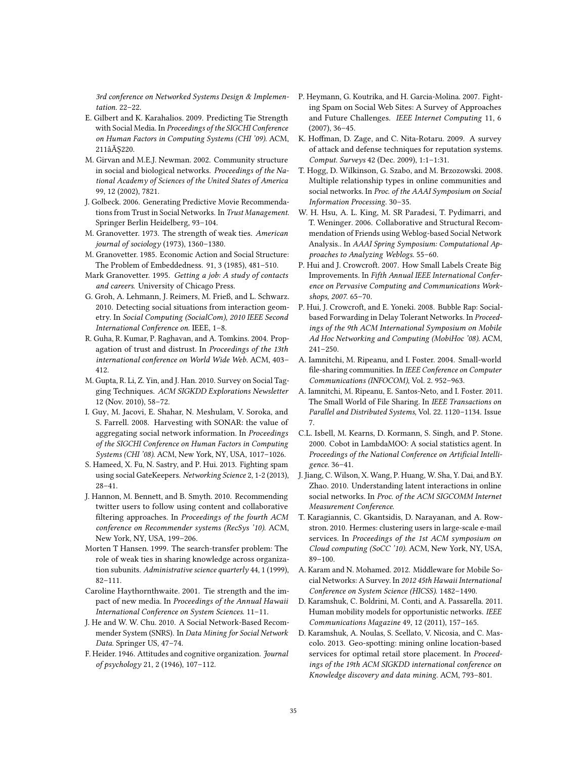3rd conference on Networked Systems Design & Implementation. 22–22.

- E. Gilbert and K. Karahalios. 2009. Predicting Tie Strength with Social Media. In Proceedings of the SIGCHI Conference on Human Factors in Computing Systems (CHI '09). ACM, 211âĂŞ220.
- M. Girvan and M.E.J. Newman. 2002. Community structure in social and biological networks. Proceedings of the National Academy of Sciences of the United States of America 99, 12 (2002), 7821.
- J. Golbeck. 2006. Generating Predictive Movie Recommendations from Trust in Social Networks. In Trust Management. Springer Berlin Heidelberg, 93–104.
- M. Granovetter. 1973. The strength of weak ties. American journal of sociology (1973), 1360–1380.
- M. Granovetter. 1985. Economic Action and Social Structure: The Problem of Embeddedness. 91, 3 (1985), 481–510.
- Mark Granovetter. 1995. Getting a job: A study of contacts and careers. University of Chicago Press.
- G. Groh, A. Lehmann, J. Reimers, M. Frieß, and L. Schwarz. 2010. Detecting social situations from interaction geometry. In Social Computing (SocialCom), 2010 IEEE Second International Conference on. IEEE, 1–8.
- R. Guha, R. Kumar, P. Raghavan, and A. Tomkins. 2004. Propagation of trust and distrust. In Proceedings of the 13th international conference on World Wide Web. ACM, 403– 412.
- M. Gupta, R. Li, Z. Yin, and J. Han. 2010. Survey on Social Tagging Techniques. ACM SIGKDD Explorations Newsletter 12 (Nov. 2010), 58–72.
- I. Guy, M. Jacovi, E. Shahar, N. Meshulam, V. Soroka, and S. Farrell. 2008. Harvesting with SONAR: the value of aggregating social network information. In Proceedings of the SIGCHI Conference on Human Factors in Computing Systems (CHI '08). ACM, New York, NY, USA, 1017–1026.
- S. Hameed, X. Fu, N. Sastry, and P. Hui. 2013. Fighting spam using social GateKeepers. Networking Science 2, 1-2 (2013), 28–41.
- J. Hannon, M. Bennett, and B. Smyth. 2010. Recommending twitter users to follow using content and collaborative filtering approaches. In Proceedings of the fourth ACM conference on Recommender systems (RecSys '10). ACM, New York, NY, USA, 199–206.
- Morten T Hansen. 1999. The search-transfer problem: The role of weak ties in sharing knowledge across organization subunits. Administrative science quarterly 44, 1 (1999), 82–111.
- Caroline Haythornthwaite. 2001. Tie strength and the impact of new media. In Proceedings of the Annual Hawaii International Conference on System Sciences. 11–11.
- J. He and W. W. Chu. 2010. A Social Network-Based Recommender System (SNRS). In Data Mining for Social Network Data. Springer US, 47–74.
- F. Heider. 1946. Attitudes and cognitive organization. Journal of psychology 21, 2 (1946), 107–112.
- P. Heymann, G. Koutrika, and H. Garcia-Molina. 2007. Fighting Spam on Social Web Sites: A Survey of Approaches and Future Challenges. IEEE Internet Computing 11, 6 (2007), 36–45.
- K. Hoffman, D. Zage, and C. Nita-Rotaru. 2009. A survey of attack and defense techniques for reputation systems. Comput. Surveys 42 (Dec. 2009), 1:1–1:31.
- T. Hogg, D. Wilkinson, G. Szabo, and M. Brzozowski. 2008. Multiple relationship types in online communities and social networks. In Proc. of the AAAI Symposium on Social Information Processing. 30–35.
- W. H. Hsu, A. L. King, M. SR Paradesi, T. Pydimarri, and T. Weninger. 2006. Collaborative and Structural Recommendation of Friends using Weblog-based Social Network Analysis.. In AAAI Spring Symposium: Computational Approaches to Analyzing Weblogs. 55–60.
- P. Hui and J. Crowcroft. 2007. How Small Labels Create Big Improvements. In Fifth Annual IEEE International Conference on Pervasive Computing and Communications Workshops, 2007. 65–70.
- P. Hui, J. Crowcroft, and E. Yoneki. 2008. Bubble Rap: Socialbased Forwarding in Delay Tolerant Networks. In Proceedings of the 9th ACM International Symposium on Mobile Ad Hoc Networking and Computing (MobiHoc '08). ACM, 241–250.
- A. Iamnitchi, M. Ripeanu, and I. Foster. 2004. Small-world file-sharing communities. In IEEE Conference on Computer Communications (INFOCOM), Vol. 2. 952–963.
- A. Iamnitchi, M. Ripeanu, E. Santos-Neto, and I. Foster. 2011. The Small World of File Sharing. In IEEE Transactions on Parallel and Distributed Systems, Vol. 22. 1120–1134. Issue 7.
- C.L. Isbell, M. Kearns, D. Kormann, S. Singh, and P. Stone. 2000. Cobot in LambdaMOO: A social statistics agent. In Proceedings of the National Conference on Artificial Intelligence. 36–41.
- J. Jiang, C. Wilson, X. Wang, P. Huang, W. Sha, Y. Dai, and B.Y. Zhao. 2010. Understanding latent interactions in online social networks. In Proc. of the ACM SIGCOMM Internet Measurement Conference.
- T. Karagiannis, C. Gkantsidis, D. Narayanan, and A. Rowstron. 2010. Hermes: clustering users in large-scale e-mail services. In Proceedings of the 1st ACM symposium on Cloud computing (SoCC '10). ACM, New York, NY, USA, 89–100.
- A. Karam and N. Mohamed. 2012. Middleware for Mobile Social Networks: A Survey. In 2012 45th Hawaii International Conference on System Science (HICSS). 1482–1490.
- D. Karamshuk, C. Boldrini, M. Conti, and A. Passarella. 2011. Human mobility models for opportunistic networks. IEEE Communications Magazine 49, 12 (2011), 157–165.
- D. Karamshuk, A. Noulas, S. Scellato, V. Nicosia, and C. Mascolo. 2013. Geo-spotting: mining online location-based services for optimal retail store placement. In Proceedings of the 19th ACM SIGKDD international conference on Knowledge discovery and data mining. ACM, 793–801.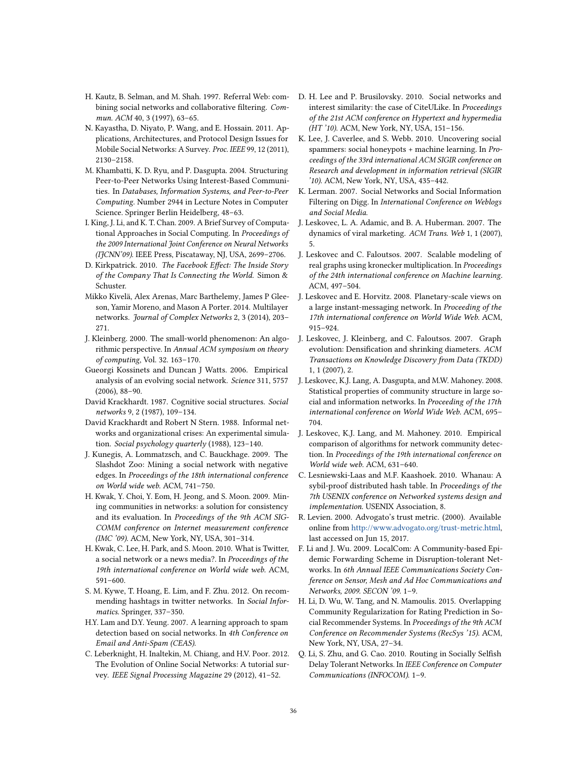- H. Kautz, B. Selman, and M. Shah. 1997. Referral Web: combining social networks and collaborative filtering. Commun. ACM 40, 3 (1997), 63–65.
- N. Kayastha, D. Niyato, P. Wang, and E. Hossain. 2011. Applications, Architectures, and Protocol Design Issues for Mobile Social Networks: A Survey. Proc. IEEE 99, 12 (2011), 2130–2158.
- M. Khambatti, K. D. Ryu, and P. Dasgupta. 2004. Structuring Peer-to-Peer Networks Using Interest-Based Communities. In Databases, Information Systems, and Peer-to-Peer Computing. Number 2944 in Lecture Notes in Computer Science. Springer Berlin Heidelberg, 48–63.
- I. King, J. Li, and K. T. Chan. 2009. A Brief Survey of Computational Approaches in Social Computing. In Proceedings of the 2009 International Joint Conference on Neural Networks (IJCNN'09). IEEE Press, Piscataway, NJ, USA, 2699–2706.
- D. Kirkpatrick. 2010. The Facebook Effect: The Inside Story of the Company That Is Connecting the World. Simon & Schuster.
- Mikko Kivelä, Alex Arenas, Marc Barthelemy, James P Gleeson, Yamir Moreno, and Mason A Porter. 2014. Multilayer networks. Journal of Complex Networks 2, 3 (2014), 203– 271.
- J. Kleinberg. 2000. The small-world phenomenon: An algorithmic perspective. In Annual ACM symposium on theory of computing, Vol. 32. 163–170.
- Gueorgi Kossinets and Duncan J Watts. 2006. Empirical analysis of an evolving social network. Science 311, 5757 (2006), 88–90.
- David Krackhardt. 1987. Cognitive social structures. Social networks 9, 2 (1987), 109–134.
- David Krackhardt and Robert N Stern. 1988. Informal networks and organizational crises: An experimental simulation. Social psychology quarterly (1988), 123–140.
- J. Kunegis, A. Lommatzsch, and C. Bauckhage. 2009. The Slashdot Zoo: Mining a social network with negative edges. In Proceedings of the 18th international conference on World wide web. ACM, 741–750.
- H. Kwak, Y. Choi, Y. Eom, H. Jeong, and S. Moon. 2009. Mining communities in networks: a solution for consistency and its evaluation. In Proceedings of the 9th ACM SIG-COMM conference on Internet measurement conference (IMC '09). ACM, New York, NY, USA, 301–314.
- H. Kwak, C. Lee, H. Park, and S. Moon. 2010. What is Twitter, a social network or a news media?. In Proceedings of the 19th international conference on World wide web. ACM, 591–600.
- S. M. Kywe, T. Hoang, E. Lim, and F. Zhu. 2012. On recommending hashtags in twitter networks. In Social Informatics. Springer, 337–350.
- H.Y. Lam and D.Y. Yeung. 2007. A learning approach to spam detection based on social networks. In 4th Conference on Email and Anti-Spam (CEAS).
- C. Leberknight, H. Inaltekin, M. Chiang, and H.V. Poor. 2012. The Evolution of Online Social Networks: A tutorial survey. IEEE Signal Processing Magazine 29 (2012), 41–52.
- D. H. Lee and P. Brusilovsky. 2010. Social networks and interest similarity: the case of CiteULike. In Proceedings of the 21st ACM conference on Hypertext and hypermedia (HT '10). ACM, New York, NY, USA, 151–156.
- K. Lee, J. Caverlee, and S. Webb. 2010. Uncovering social spammers: social honeypots + machine learning. In Proceedings of the 33rd international ACM SIGIR conference on Research and development in information retrieval (SIGIR '10). ACM, New York, NY, USA, 435–442.
- K. Lerman. 2007. Social Networks and Social Information Filtering on Digg. In International Conference on Weblogs and Social Media.
- J. Leskovec, L. A. Adamic, and B. A. Huberman. 2007. The dynamics of viral marketing. ACM Trans. Web 1, 1 (2007), 5.
- J. Leskovec and C. Faloutsos. 2007. Scalable modeling of real graphs using kronecker multiplication. In Proceedings of the 24th international conference on Machine learning. ACM, 497–504.
- J. Leskovec and E. Horvitz. 2008. Planetary-scale views on a large instant-messaging network. In Proceeding of the 17th international conference on World Wide Web. ACM, 915–924.
- J. Leskovec, J. Kleinberg, and C. Faloutsos. 2007. Graph evolution: Densification and shrinking diameters. ACM Transactions on Knowledge Discovery from Data (TKDD) 1, 1 (2007), 2.
- J. Leskovec, K.J. Lang, A. Dasgupta, and M.W. Mahoney. 2008. Statistical properties of community structure in large social and information networks. In Proceeding of the 17th international conference on World Wide Web. ACM, 695– 704.
- J. Leskovec, K.J. Lang, and M. Mahoney. 2010. Empirical comparison of algorithms for network community detection. In Proceedings of the 19th international conference on World wide web. ACM, 631–640.
- C. Lesniewski-Laas and M.F. Kaashoek. 2010. Whanau: A sybil-proof distributed hash table. In Proceedings of the 7th USENIX conference on Networked systems design and implementation. USENIX Association, 8.
- R. Levien. 2000. Advogato's trust metric. (2000). Available online from http://www.advogato.org/trust-metric.html, last accessed on Jun 15, 2017.
- F. Li and J. Wu. 2009. LocalCom: A Community-based Epidemic Forwarding Scheme in Disruption-tolerant Networks. In 6th Annual IEEE Communications Society Conference on Sensor, Mesh and Ad Hoc Communications and Networks, 2009. SECON '09. 1–9.
- H. Li, D. Wu, W. Tang, and N. Mamoulis. 2015. Overlapping Community Regularization for Rating Prediction in Social Recommender Systems. In Proceedings of the 9th ACM Conference on Recommender Systems (RecSys '15). ACM, New York, NY, USA, 27–34.
- Q. Li, S. Zhu, and G. Cao. 2010. Routing in Socially Selfish Delay Tolerant Networks. In IEEE Conference on Computer Communications (INFOCOM). 1–9.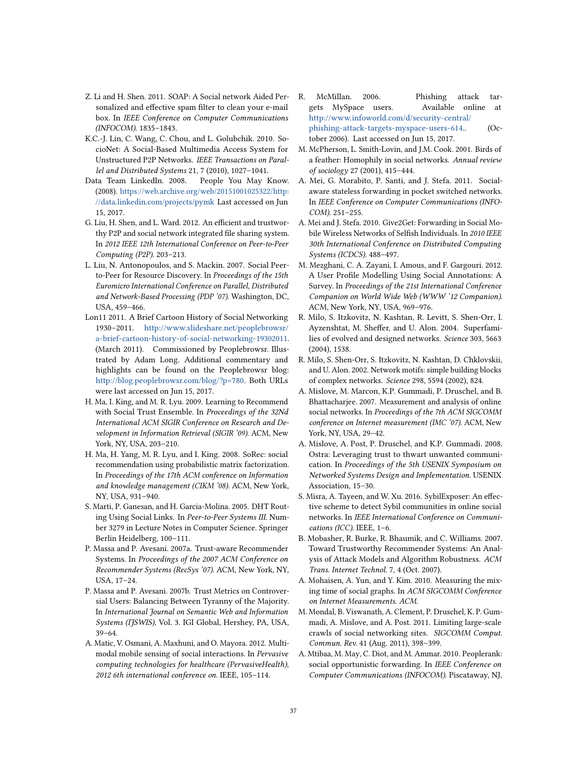- Z. Li and H. Shen. 2011. SOAP: A Social network Aided Personalized and effective spam filter to clean your e-mail box. In IEEE Conference on Computer Communications (INFOCOM). 1835–1843.
- K.C.-J. Lin, C. Wang, C. Chou, and L. Golubchik. 2010. SocioNet: A Social-Based Multimedia Access System for Unstructured P2P Networks. IEEE Transactions on Parallel and Distributed Systems 21, 7 (2010), 1027–1041.
- Data Team LinkedIn. 2008. People You May Know. (2008). https://web.archive.org/web/20151001025322/http: //data.linkedin.com/projects/pymk Last accessed on Jun 15, 2017.
- G. Liu, H. Shen, and L. Ward. 2012. An efficient and trustworthy P2P and social network integrated file sharing system. In 2012 IEEE 12th International Conference on Peer-to-Peer Computing (P2P). 203–213.
- L. Liu, N. Antonopoulos, and S. Mackin. 2007. Social Peerto-Peer for Resource Discovery. In Proceedings of the 15th Euromicro International Conference on Parallel, Distributed and Network-Based Processing (PDP '07). Washington, DC, USA, 459–466.
- Lon11 2011. A Brief Cartoon History of Social Networking 1930–2011. http://www.slideshare.net/peoplebrowsr/ a-brief-cartoon-history-of-social-networking-19302011. (March 2011). Commissioned by Peoplebrowsr. Illustrated by Adam Long. Additional commentary and highlights can be found on the Peoplebrowsr blog: http://blog.peoplebrowsr.com/blog/?p=780. Both URLs were last accessed on Jun 15, 2017.
- H. Ma, I. King, and M. R. Lyu. 2009. Learning to Recommend with Social Trust Ensemble. In Proceedings of the 32Nd International ACM SIGIR Conference on Research and Development in Information Retrieval (SIGIR '09). ACM, New York, NY, USA, 203–210.
- H. Ma, H. Yang, M. R. Lyu, and I. King. 2008. SoRec: social recommendation using probabilistic matrix factorization. In Proceedings of the 17th ACM conference on Information and knowledge management (CIKM '08). ACM, New York, NY, USA, 931–940.
- S. Marti, P. Ganesan, and H. Garcia-Molina. 2005. DHT Routing Using Social Links. In Peer-to-Peer Systems III. Number 3279 in Lecture Notes in Computer Science. Springer Berlin Heidelberg, 100–111.
- P. Massa and P. Avesani. 2007a. Trust-aware Recommender Systems. In Proceedings of the 2007 ACM Conference on Recommender Systems (RecSys '07). ACM, New York, NY, USA, 17–24.
- P. Massa and P. Avesani. 2007b. Trust Metrics on Controversial Users: Balancing Between Tyranny of the Majority. In International Journal on Semantic Web and Information Systems (IJSWIS), Vol. 3. IGI Global, Hershey, PA, USA, 39–64.
- A. Matic, V. Osmani, A. Maxhuni, and O. Mayora. 2012. Multimodal mobile sensing of social interactions. In Pervasive computing technologies for healthcare (PervasiveHealth), 2012 6th international conference on. IEEE, 105–114.
- R. McMillan. 2006. Phishing attack targets MySpace users. Available online at http://www.infoworld.com/d/security-central/ phishing-attack-targets-myspace-users-614.. (October 2006). Last accessed on Jun 15, 2017.
- M. McPherson, L. Smith-Lovin, and J.M. Cook. 2001. Birds of a feather: Homophily in social networks. Annual review of sociology 27 (2001), 415–444.
- A. Mei, G. Morabito, P. Santi, and J. Stefa. 2011. Socialaware stateless forwarding in pocket switched networks. In IEEE Conference on Computer Communications (INFO-COM). 251–255.
- A. Mei and J. Stefa. 2010. Give2Get: Forwarding in Social Mobile Wireless Networks of Selfish Individuals. In 2010 IEEE 30th International Conference on Distributed Computing Systems (ICDCS). 488–497.
- M. Mezghani, C. A. Zayani, I. Amous, and F. Gargouri. 2012. A User Profile Modelling Using Social Annotations: A Survey. In Proceedings of the 21st International Conference Companion on World Wide Web (WWW '12 Companion). ACM, New York, NY, USA, 969–976.
- R. Milo, S. Itzkovitz, N. Kashtan, R. Levitt, S. Shen-Orr, I. Ayzenshtat, M. Sheffer, and U. Alon. 2004. Superfamilies of evolved and designed networks. Science 303, 5663 (2004), 1538.
- R. Milo, S. Shen-Orr, S. Itzkovitz, N. Kashtan, D. Chklovskii, and U. Alon. 2002. Network motifs: simple building blocks of complex networks. Science 298, 5594 (2002), 824.
- A. Mislove, M. Marcon, K.P. Gummadi, P. Druschel, and B. Bhattacharjee. 2007. Measurement and analysis of online social networks. In Proceedings of the 7th ACM SIGCOMM conference on Internet measurement (IMC '07). ACM, New York, NY, USA, 29–42.
- A. Mislove, A. Post, P. Druschel, and K.P. Gummadi. 2008. Ostra: Leveraging trust to thwart unwanted communication. In Proceedings of the 5th USENIX Symposium on Networked Systems Design and Implementation. USENIX Association, 15–30.
- S. Misra, A. Tayeen, and W. Xu. 2016. SybilExposer: An effective scheme to detect Sybil communities in online social networks. In IEEE International Conference on Communications (ICC). IEEE, 1–6.
- B. Mobasher, R. Burke, R. Bhaumik, and C. Williams. 2007. Toward Trustworthy Recommender Systems: An Analysis of Attack Models and Algorithm Robustness. ACM Trans. Internet Technol. 7, 4 (Oct. 2007).
- A. Mohaisen, A. Yun, and Y. Kim. 2010. Measuring the mixing time of social graphs. In ACM SIGCOMM Conference on Internet Measurements. ACM.
- M. Mondal, B. Viswanath, A. Clement, P. Druschel, K. P. Gummadi, A. Mislove, and A. Post. 2011. Limiting large-scale crawls of social networking sites. SIGCOMM Comput. Commun. Rev. 41 (Aug. 2011), 398–399.
- A. Mtibaa, M. May, C. Diot, and M. Ammar. 2010. Peoplerank: social opportunistic forwarding. In IEEE Conference on Computer Communications (INFOCOM). Piscataway, NJ,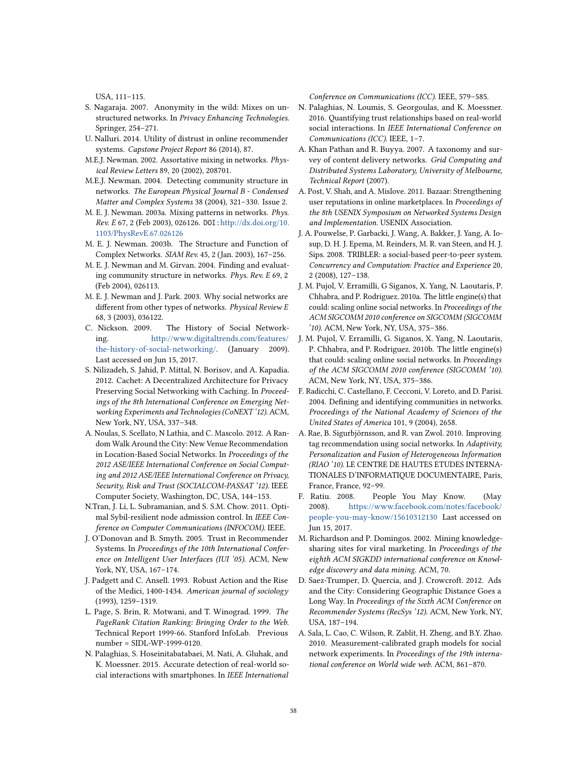USA, 111–115.

- S. Nagaraja. 2007. Anonymity in the wild: Mixes on unstructured networks. In Privacy Enhancing Technologies. Springer, 254–271.
- U. Nalluri. 2014. Utility of distrust in online recommender systems. Capstone Project Report 86 (2014), 87.
- M.E.J. Newman. 2002. Assortative mixing in networks. Physical Review Letters 89, 20 (2002), 208701.
- M.E.J. Newman. 2004. Detecting community structure in networks. The European Physical Journal B - Condensed Matter and Complex Systems 38 (2004), 321–330. Issue 2.
- M. E. J. Newman. 2003a. Mixing patterns in networks. Phys. Rev. E 67, 2 (Feb 2003), 026126. DOI:http://dx.doi.org/10. 1103/PhysRevE.67.026126
- M. E. J. Newman. 2003b. The Structure and Function of Complex Networks. SIAM Rev. 45, 2 (Jan. 2003), 167–256.
- M. E. J. Newman and M. Girvan. 2004. Finding and evaluating community structure in networks. Phys. Rev. E 69, 2 (Feb 2004), 026113.
- M. E. J. Newman and J. Park. 2003. Why social networks are different from other types of networks. Physical Review E 68, 3 (2003), 036122.
- C. Nickson. 2009. The History of Social Networking. http://www.digitaltrends.com/features/ the-history-of-social-networking/. (January 2009). Last accessed on Jun 15, 2017.
- S. Nilizadeh, S. Jahid, P. Mittal, N. Borisov, and A. Kapadia. 2012. Cachet: A Decentralized Architecture for Privacy Preserving Social Networking with Caching. In Proceedings of the 8th International Conference on Emerging Networking Experiments and Technologies (CoNEXT '12). ACM, New York, NY, USA, 337–348.
- A. Noulas, S. Scellato, N Lathia, and C. Mascolo. 2012. A Random Walk Around the City: New Venue Recommendation in Location-Based Social Networks. In Proceedings of the 2012 ASE/IEEE International Conference on Social Computing and 2012 ASE/IEEE International Conference on Privacy, Security, Risk and Trust (SOCIALCOM-PASSAT '12). IEEE Computer Society, Washington, DC, USA, 144–153.
- N.Tran, J. Li, L. Subramanian, and S. S.M. Chow. 2011. Optimal Sybil-resilient node admission control. In IEEE Conference on Computer Communications (INFOCOM). IEEE.
- J. O'Donovan and B. Smyth. 2005. Trust in Recommender Systems. In Proceedings of the 10th International Conference on Intelligent User Interfaces (IUI '05). ACM, New York, NY, USA, 167–174.
- J. Padgett and C. Ansell. 1993. Robust Action and the Rise of the Medici, 1400-1434. American journal of sociology (1993), 1259–1319.
- L. Page, S. Brin, R. Motwani, and T. Winograd. 1999. The PageRank Citation Ranking: Bringing Order to the Web. Technical Report 1999-66. Stanford InfoLab. Previous number = SIDL-WP-1999-0120.
- N. Palaghias, S. Hoseinitabatabaei, M. Nati, A. Gluhak, and K. Moessner. 2015. Accurate detection of real-world social interactions with smartphones. In IEEE International

Conference on Communications (ICC). IEEE, 579–585.

- N. Palaghias, N. Loumis, S. Georgoulas, and K. Moessner. 2016. Quantifying trust relationships based on real-world social interactions. In IEEE International Conference on Communications (ICC). IEEE, 1–7.
- A. Khan Pathan and R. Buyya. 2007. A taxonomy and survey of content delivery networks. Grid Computing and Distributed Systems Laboratory, University of Melbourne, Technical Report (2007).
- A. Post, V. Shah, and A. Mislove. 2011. Bazaar: Strengthening user reputations in online marketplaces. In Proceedings of the 8th USENIX Symposium on Networked Systems Design and Implementation. USENIX Association.
- J. A. Pouwelse, P. Garbacki, J. Wang, A. Bakker, J. Yang, A. Iosup, D. H. J. Epema, M. Reinders, M. R. van Steen, and H. J. Sips. 2008. TRIBLER: a social-based peer-to-peer system. Concurrency and Computation: Practice and Experience 20, 2 (2008), 127–138.
- J. M. Pujol, V. Erramilli, G Siganos, X. Yang, N. Laoutaris, P. Chhabra, and P. Rodriguez. 2010a. The little engine(s) that could: scaling online social networks. In Proceedings of the ACM SIGCOMM 2010 conference on SIGCOMM (SIGCOMM '10). ACM, New York, NY, USA, 375–386.
- J. M. Pujol, V. Erramilli, G. Siganos, X. Yang, N. Laoutaris, P. Chhabra, and P. Rodriguez. 2010b. The little engine(s) that could: scaling online social networks. In Proceedings of the ACM SIGCOMM 2010 conference (SIGCOMM '10). ACM, New York, NY, USA, 375–386.
- F. Radicchi, C. Castellano, F. Cecconi, V. Loreto, and D. Parisi. 2004. Defining and identifying communities in networks. Proceedings of the National Academy of Sciences of the United States of America 101, 9 (2004), 2658.
- A. Rae, B. Sigurbjörnsson, and R. van Zwol. 2010. Improving tag recommendation using social networks. In Adaptivity, Personalization and Fusion of Heterogeneous Information (RIAO '10). LE CENTRE DE HAUTES ETUDES INTERNA-TIONALES D'INFORMATIQUE DOCUMENTAIRE, Paris, France, France, 92–99.
- F. Ratiu. 2008. People You May Know. (May 2008). https://www.facebook.com/notes/facebook/ people-you-may-know/15610312130 Last accessed on Jun 15, 2017.
- M. Richardson and P. Domingos. 2002. Mining knowledgesharing sites for viral marketing. In Proceedings of the eighth ACM SIGKDD international conference on Knowledge discovery and data mining. ACM, 70.
- D. Saez-Trumper, D. Quercia, and J. Crowcroft. 2012. Ads and the City: Considering Geographic Distance Goes a Long Way. In Proceedings of the Sixth ACM Conference on Recommender Systems (RecSys '12). ACM, New York, NY, USA, 187–194.
- A. Sala, L. Cao, C. Wilson, R. Zablit, H. Zheng, and B.Y. Zhao. 2010. Measurement-calibrated graph models for social network experiments. In Proceedings of the 19th international conference on World wide web. ACM, 861–870.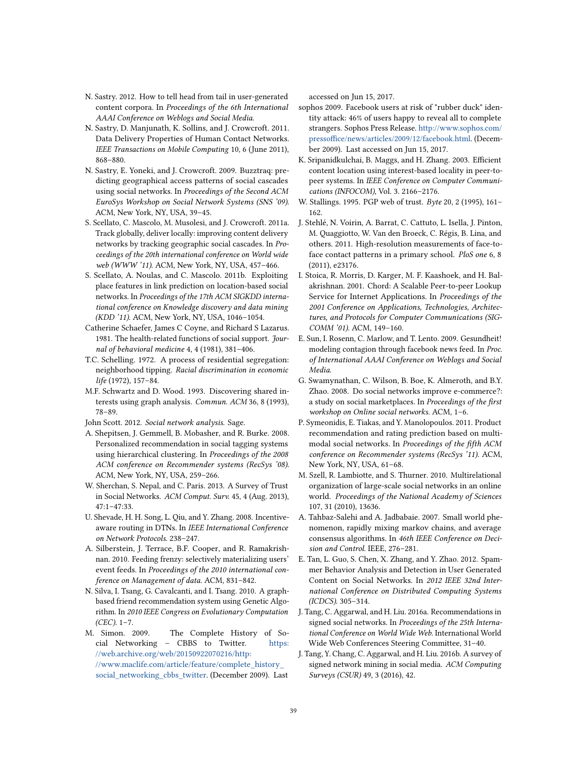- N. Sastry. 2012. How to tell head from tail in user-generated content corpora. In Proceedings of the 6th International AAAI Conference on Weblogs and Social Media.
- N. Sastry, D. Manjunath, K. Sollins, and J. Crowcroft. 2011. Data Delivery Properties of Human Contact Networks. IEEE Transactions on Mobile Computing 10, 6 (June 2011), 868–880.
- N. Sastry, E. Yoneki, and J. Crowcroft. 2009. Buzztraq: predicting geographical access patterns of social cascades using social networks. In Proceedings of the Second ACM EuroSys Workshop on Social Network Systems (SNS '09). ACM, New York, NY, USA, 39–45.
- S. Scellato, C. Mascolo, M. Musolesi, and J. Crowcroft. 2011a. Track globally, deliver locally: improving content delivery networks by tracking geographic social cascades. In Proceedings of the 20th international conference on World wide web (WWW '11). ACM, New York, NY, USA, 457–466.
- S. Scellato, A. Noulas, and C. Mascolo. 2011b. Exploiting place features in link prediction on location-based social networks. In Proceedings of the 17th ACM SIGKDD international conference on Knowledge discovery and data mining (KDD '11). ACM, New York, NY, USA, 1046–1054.
- Catherine Schaefer, James C Coyne, and Richard S Lazarus. 1981. The health-related functions of social support. Journal of behavioral medicine 4, 4 (1981), 381–406.
- T.C. Schelling. 1972. A process of residential segregation: neighborhood tipping. Racial discrimination in economic life (1972), 157–84.
- M.F. Schwartz and D. Wood. 1993. Discovering shared interests using graph analysis. Commun. ACM 36, 8 (1993), 78–89.

John Scott. 2012. Social network analysis. Sage.

- A. Shepitsen, J. Gemmell, B. Mobasher, and R. Burke. 2008. Personalized recommendation in social tagging systems using hierarchical clustering. In Proceedings of the 2008 ACM conference on Recommender systems (RecSys '08). ACM, New York, NY, USA, 259–266.
- W. Sherchan, S. Nepal, and C. Paris. 2013. A Survey of Trust in Social Networks. ACM Comput. Surv. 45, 4 (Aug. 2013), 47:1–47:33.
- U. Shevade, H. H. Song, L. Qiu, and Y. Zhang. 2008. Incentiveaware routing in DTNs. In IEEE International Conference on Network Protocols. 238–247.
- A. Silberstein, J. Terrace, B.F. Cooper, and R. Ramakrishnan. 2010. Feeding frenzy: selectively materializing users' event feeds. In Proceedings of the 2010 international conference on Management of data. ACM, 831–842.
- N. Silva, I. Tsang, G. Cavalcanti, and I. Tsang. 2010. A graphbased friend recommendation system using Genetic Algorithm. In 2010 IEEE Congress on Evolutionary Computation (CEC). 1–7.
- M. Simon. 2009. The Complete History of Social Networking – CBBS to Twitter. https: //web.archive.org/web/20150922070216/http: //www.maclife.com/article/feature/complete\_history\_ social\_networking\_cbbs\_twitter. (December 2009). Last

accessed on Jun 15, 2017.

- sophos 2009. Facebook users at risk of "rubber duck" identity attack: 46% of users happy to reveal all to complete strangers. Sophos Press Release. http://www.sophos.com/ pressoffice/news/articles/2009/12/facebook.html. (December 2009). Last accessed on Jun 15, 2017.
- K. Sripanidkulchai, B. Maggs, and H. Zhang. 2003. Efficient content location using interest-based locality in peer-topeer systems. In IEEE Conference on Computer Communications (INFOCOM), Vol. 3. 2166–2176.
- W. Stallings. 1995. PGP web of trust. Byte 20, 2 (1995), 161– 162.
- J. Stehlé, N. Voirin, A. Barrat, C. Cattuto, L. Isella, J. Pinton, M. Quaggiotto, W. Van den Broeck, C. Régis, B. Lina, and others. 2011. High-resolution measurements of face-toface contact patterns in a primary school. PloS one 6, 8 (2011), e23176.
- I. Stoica, R. Morris, D. Karger, M. F. Kaashoek, and H. Balakrishnan. 2001. Chord: A Scalable Peer-to-peer Lookup Service for Internet Applications. In Proceedings of the 2001 Conference on Applications, Technologies, Architectures, and Protocols for Computer Communications (SIG-COMM '01). ACM, 149–160.
- E. Sun, I. Rosenn, C. Marlow, and T. Lento. 2009. Gesundheit! modeling contagion through facebook news feed. In Proc. of International AAAI Conference on Weblogs and Social Media.
- G. Swamynathan, C. Wilson, B. Boe, K. Almeroth, and B.Y. Zhao. 2008. Do social networks improve e-commerce?: a study on social marketplaces. In Proceedings of the first workshop on Online social networks. ACM, 1–6.
- P. Symeonidis, E. Tiakas, and Y. Manolopoulos. 2011. Product recommendation and rating prediction based on multimodal social networks. In Proceedings of the fifth ACM conference on Recommender systems (RecSys '11). ACM, New York, NY, USA, 61–68.
- M. Szell, R. Lambiotte, and S. Thurner. 2010. Multirelational organization of large-scale social networks in an online world. Proceedings of the National Academy of Sciences 107, 31 (2010), 13636.
- A. Tahbaz-Salehi and A. Jadbabaie. 2007. Small world phenomenon, rapidly mixing markov chains, and average consensus algorithms. In 46th IEEE Conference on Decision and Control. IEEE, 276–281.
- E. Tan, L. Guo, S. Chen, X. Zhang, and Y. Zhao. 2012. Spammer Behavior Analysis and Detection in User Generated Content on Social Networks. In 2012 IEEE 32nd International Conference on Distributed Computing Systems (ICDCS). 305–314.
- J. Tang, C. Aggarwal, and H. Liu. 2016a. Recommendations in signed social networks. In Proceedings of the 25th International Conference on World Wide Web. International World Wide Web Conferences Steering Committee, 31–40.
- J. Tang, Y. Chang, C. Aggarwal, and H. Liu. 2016b. A survey of signed network mining in social media. ACM Computing Surveys (CSUR) 49, 3 (2016), 42.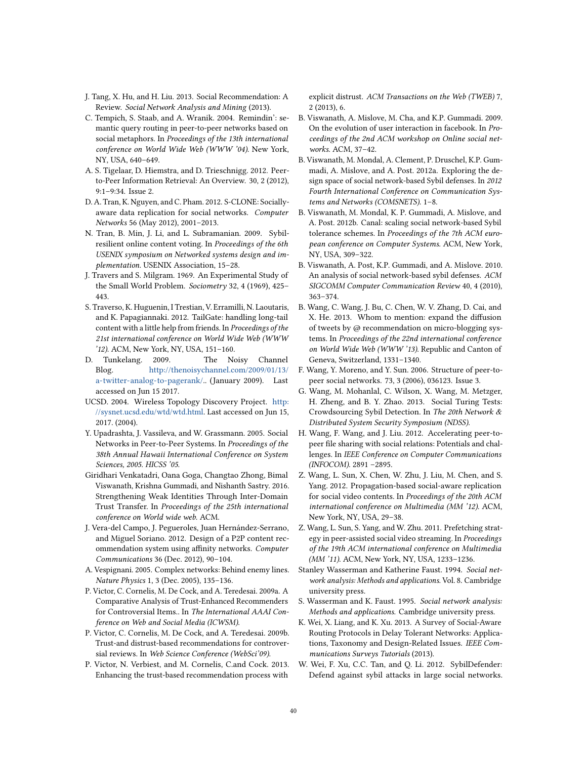- J. Tang, X. Hu, and H. Liu. 2013. Social Recommendation: A Review. Social Network Analysis and Mining (2013).
- C. Tempich, S. Staab, and A. Wranik. 2004. Remindin': semantic query routing in peer-to-peer networks based on social metaphors. In Proceedings of the 13th international conference on World Wide Web (WWW '04). New York, NY, USA, 640–649.
- A. S. Tigelaar, D. Hiemstra, and D. Trieschnigg. 2012. Peerto-Peer Information Retrieval: An Overview. 30, 2 (2012), 9:1–9:34. Issue 2.
- D. A. Tran, K. Nguyen, and C. Pham. 2012. S-CLONE: Sociallyaware data replication for social networks. Computer Networks 56 (May 2012), 2001–2013.
- N. Tran, B. Min, J. Li, and L. Subramanian. 2009. Sybilresilient online content voting. In Proceedings of the 6th USENIX symposium on Networked systems design and implementation. USENIX Association, 15–28.
- J. Travers and S. Milgram. 1969. An Experimental Study of the Small World Problem. Sociometry 32, 4 (1969), 425– 443.
- S. Traverso, K. Huguenin, I Trestian, V. Erramilli, N. Laoutaris, and K. Papagiannaki. 2012. TailGate: handling long-tail content with a little help from friends. In Proceedings of the 21st international conference on World Wide Web (WWW '12). ACM, New York, NY, USA, 151–160.
- D. Tunkelang. 2009. The Noisy Channel Blog. http://thenoisychannel.com/2009/01/13/ a-twitter-analog-to-pagerank/.. (January 2009). Last accessed on Jun 15 2017.
- UCSD. 2004. Wireless Topology Discovery Project. http: //sysnet.ucsd.edu/wtd/wtd.html. Last accessed on Jun 15, 2017. (2004).
- Y. Upadrashta, J. Vassileva, and W. Grassmann. 2005. Social Networks in Peer-to-Peer Systems. In Proceedings of the 38th Annual Hawaii International Conference on System Sciences, 2005. HICSS '05.
- Giridhari Venkatadri, Oana Goga, Changtao Zhong, Bimal Viswanath, Krishna Gummadi, and Nishanth Sastry. 2016. Strengthening Weak Identities Through Inter-Domain Trust Transfer. In Proceedings of the 25th international conference on World wide web. ACM.
- J. Vera-del Campo, J. Pegueroles, Juan Hernández-Serrano, and Miguel Soriano. 2012. Design of a P2P content recommendation system using affinity networks. Computer Communications 36 (Dec. 2012), 90–104.
- A. Vespignani. 2005. Complex networks: Behind enemy lines. Nature Physics 1, 3 (Dec. 2005), 135–136.
- P. Victor, C. Cornelis, M. De Cock, and A. Teredesai. 2009a. A Comparative Analysis of Trust-Enhanced Recommenders for Controversial Items.. In The International AAAI Conference on Web and Social Media (ICWSM).
- P. Victor, C. Cornelis, M. De Cock, and A. Teredesai. 2009b. Trust-and distrust-based recommendations for controversial reviews. In Web Science Conference (WebSci'09).
- P. Victor, N. Verbiest, and M. Cornelis, C.and Cock. 2013. Enhancing the trust-based recommendation process with

explicit distrust. ACM Transactions on the Web (TWEB) 7, 2 (2013), 6.

- B. Viswanath, A. Mislove, M. Cha, and K.P. Gummadi. 2009. On the evolution of user interaction in facebook. In Proceedings of the 2nd ACM workshop on Online social networks. ACM, 37–42.
- B. Viswanath, M. Mondal, A. Clement, P. Druschel, K.P. Gummadi, A. Mislove, and A. Post. 2012a. Exploring the design space of social network-based Sybil defenses. In 2012 Fourth International Conference on Communication Systems and Networks (COMSNETS). 1–8.
- B. Viswanath, M. Mondal, K. P. Gummadi, A. Mislove, and A. Post. 2012b. Canal: scaling social network-based Sybil tolerance schemes. In Proceedings of the 7th ACM european conference on Computer Systems. ACM, New York, NY, USA, 309–322.
- B. Viswanath, A. Post, K.P. Gummadi, and A. Mislove. 2010. An analysis of social network-based sybil defenses. ACM SIGCOMM Computer Communication Review 40, 4 (2010), 363–374.
- B. Wang, C. Wang, J. Bu, C. Chen, W. V. Zhang, D. Cai, and X. He. 2013. Whom to mention: expand the diffusion of tweets by @ recommendation on micro-blogging systems. In Proceedings of the 22nd international conference on World Wide Web (WWW '13). Republic and Canton of Geneva, Switzerland, 1331–1340.
- F. Wang, Y. Moreno, and Y. Sun. 2006. Structure of peer-topeer social networks. 73, 3 (2006), 036123. Issue 3.
- G. Wang, M. Mohanlal, C. Wilson, X. Wang, M. Metzger, H. Zheng, and B. Y. Zhao. 2013. Social Turing Tests: Crowdsourcing Sybil Detection. In The 20th Network & Distributed System Security Symposium (NDSS).
- H. Wang, F. Wang, and J. Liu. 2012. Accelerating peer-topeer file sharing with social relations: Potentials and challenges. In IEEE Conference on Computer Communications (INFOCOM). 2891 –2895.
- Z. Wang, L. Sun, X. Chen, W. Zhu, J. Liu, M. Chen, and S. Yang. 2012. Propagation-based social-aware replication for social video contents. In Proceedings of the 20th ACM international conference on Multimedia (MM '12). ACM, New York, NY, USA, 29–38.
- Z. Wang, L. Sun, S. Yang, and W. Zhu. 2011. Prefetching strategy in peer-assisted social video streaming. In Proceedings of the 19th ACM international conference on Multimedia (MM '11). ACM, New York, NY, USA, 1233–1236.
- Stanley Wasserman and Katherine Faust. 1994. Social network analysis: Methods and applications. Vol. 8. Cambridge university press.
- S. Wasserman and K. Faust. 1995. Social network analysis: Methods and applications. Cambridge university press.
- K. Wei, X. Liang, and K. Xu. 2013. A Survey of Social-Aware Routing Protocols in Delay Tolerant Networks: Applications, Taxonomy and Design-Related Issues. IEEE Communications Surveys Tutorials (2013).
- W. Wei, F. Xu, C.C. Tan, and Q. Li. 2012. SybilDefender: Defend against sybil attacks in large social networks.